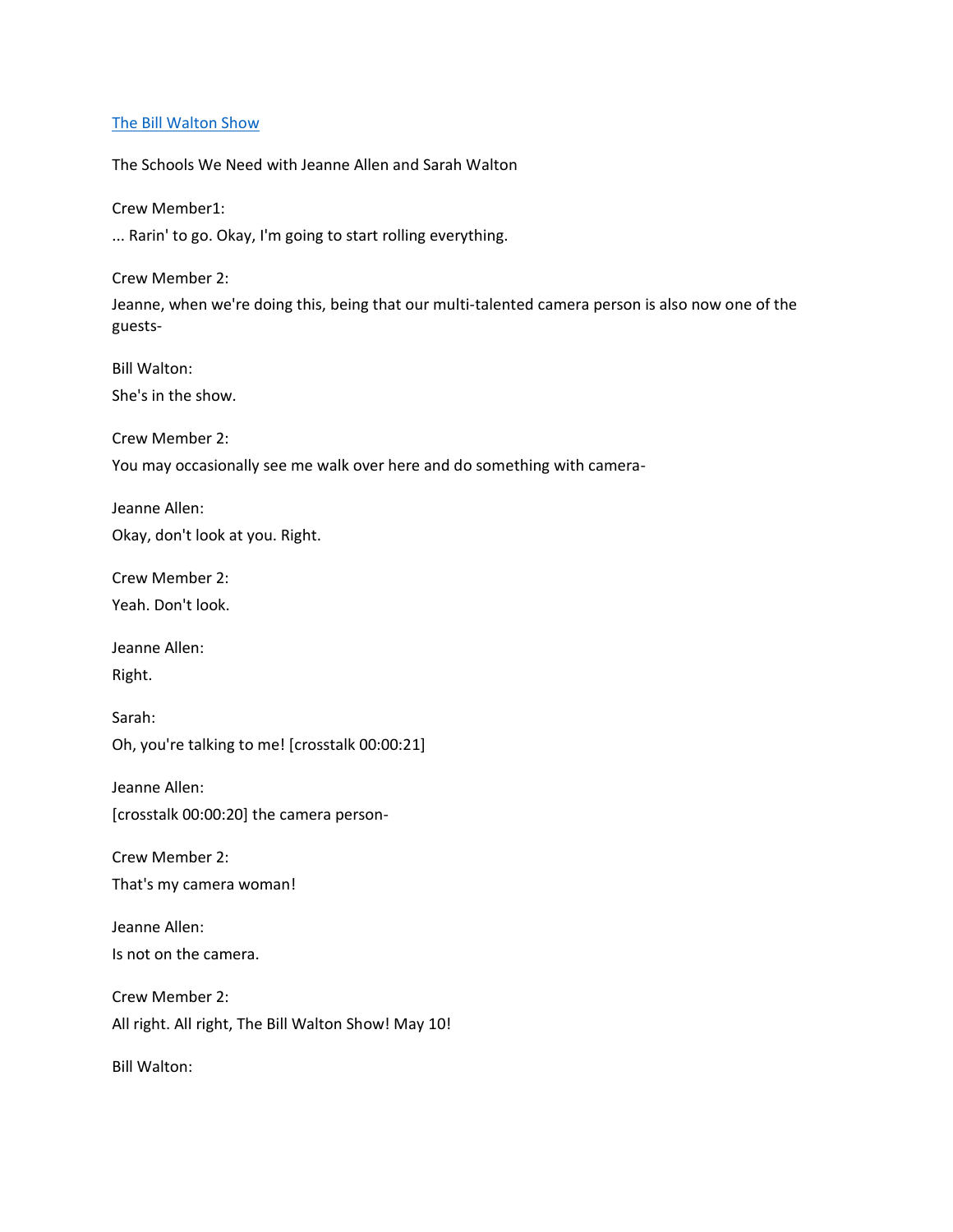## [The Bill Walton Show](https://thebillwaltonshow.com/)

The Schools We Need with Jeanne Allen and Sarah Walton

Crew Member1:

... Rarin' to go. Okay, I'm going to start rolling everything.

Crew Member 2:

Jeanne, when we're doing this, being that our multi-talented camera person is also now one of the guests-

Bill Walton:

She's in the show.

Crew Member 2:

You may occasionally see me walk over here and do something with camera-

Jeanne Allen: Okay, don't look at you. Right.

Crew Member 2: Yeah. Don't look.

Jeanne Allen:

Right.

Sarah: Oh, you're talking to me! [crosstalk 00:00:21]

Jeanne Allen: [crosstalk 00:00:20] the camera person-

Crew Member 2:

That's my camera woman!

Jeanne Allen: Is not on the camera.

Crew Member 2: All right. All right, The Bill Walton Show! May 10!

Bill Walton: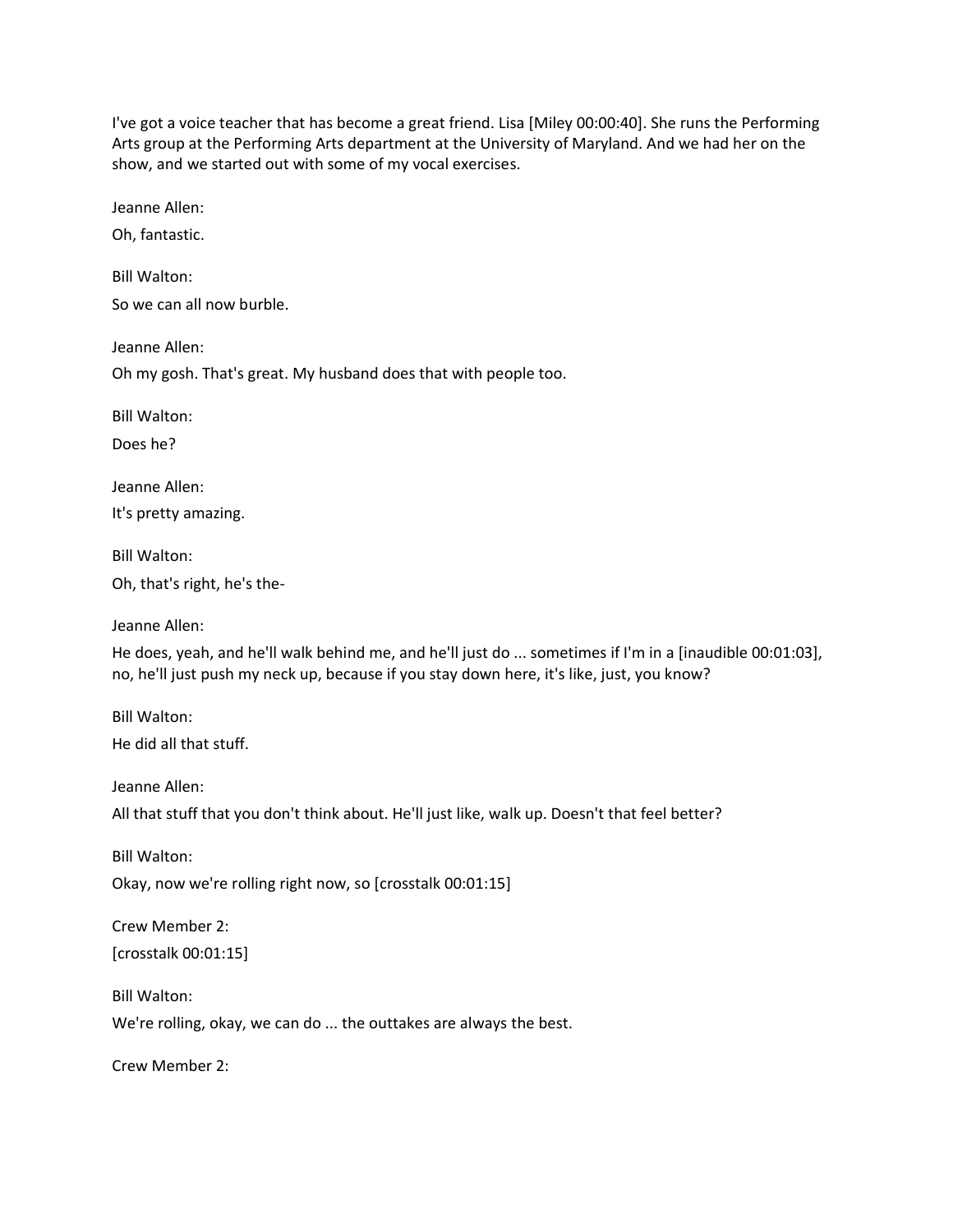I've got a voice teacher that has become a great friend. Lisa [Miley 00:00:40]. She runs the Performing Arts group at the Performing Arts department at the University of Maryland. And we had her on the show, and we started out with some of my vocal exercises.

Jeanne Allen:

Oh, fantastic.

Bill Walton: So we can all now burble.

Jeanne Allen:

Oh my gosh. That's great. My husband does that with people too.

Bill Walton:

Does he?

Jeanne Allen:

It's pretty amazing.

Bill Walton:

Oh, that's right, he's the-

Jeanne Allen:

He does, yeah, and he'll walk behind me, and he'll just do ... sometimes if I'm in a [inaudible 00:01:03], no, he'll just push my neck up, because if you stay down here, it's like, just, you know?

Bill Walton: He did all that stuff.

Jeanne Allen: All that stuff that you don't think about. He'll just like, walk up. Doesn't that feel better?

Bill Walton: Okay, now we're rolling right now, so [crosstalk 00:01:15]

Crew Member 2: [crosstalk 00:01:15]

Bill Walton:

We're rolling, okay, we can do ... the outtakes are always the best.

Crew Member 2: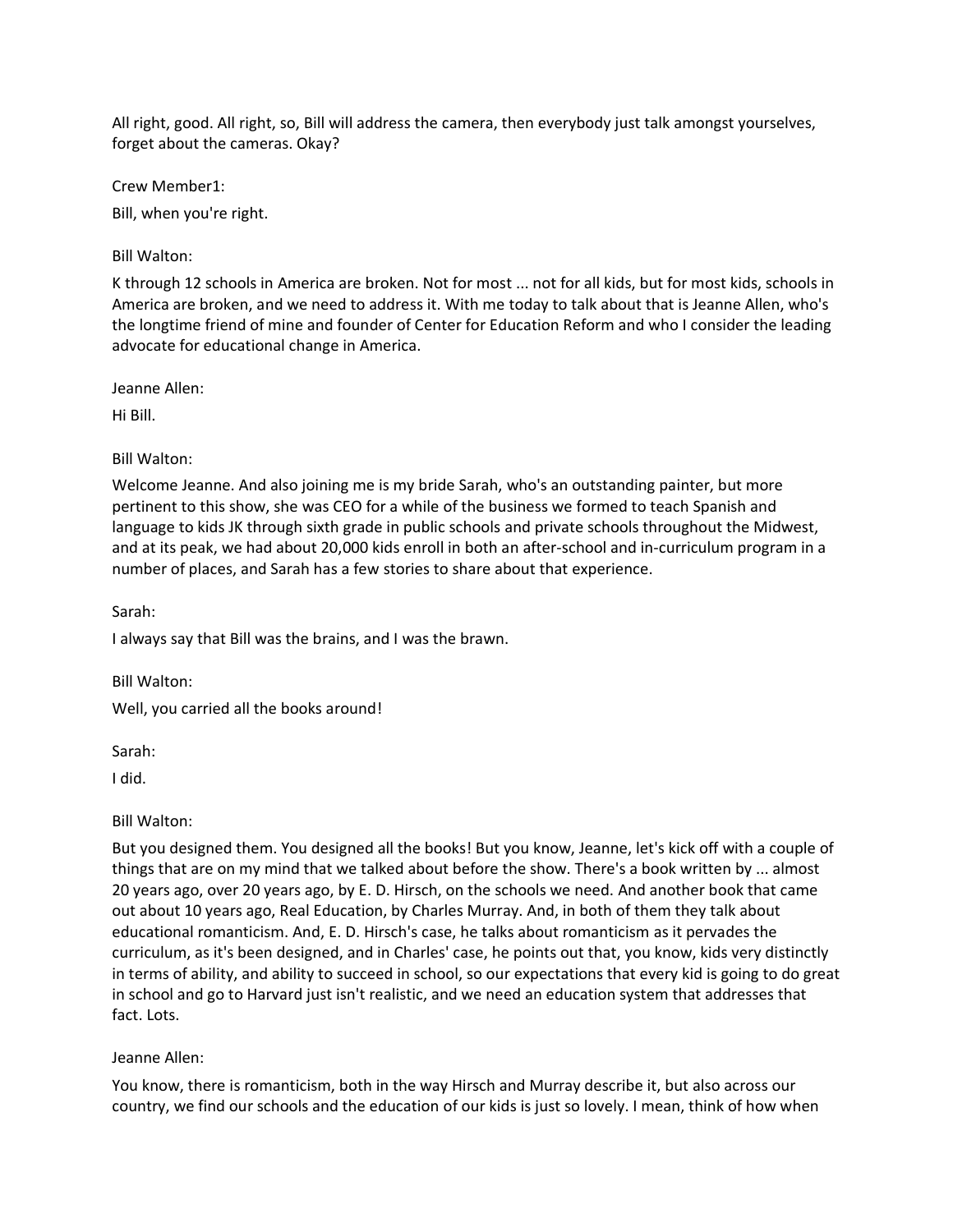All right, good. All right, so, Bill will address the camera, then everybody just talk amongst yourselves, forget about the cameras. Okay?

Crew Member1:

Bill, when you're right.

Bill Walton:

K through 12 schools in America are broken. Not for most ... not for all kids, but for most kids, schools in America are broken, and we need to address it. With me today to talk about that is Jeanne Allen, who's the longtime friend of mine and founder of Center for Education Reform and who I consider the leading advocate for educational change in America.

Jeanne Allen:

Hi Bill.

Bill Walton:

Welcome Jeanne. And also joining me is my bride Sarah, who's an outstanding painter, but more pertinent to this show, she was CEO for a while of the business we formed to teach Spanish and language to kids JK through sixth grade in public schools and private schools throughout the Midwest, and at its peak, we had about 20,000 kids enroll in both an after-school and in-curriculum program in a number of places, and Sarah has a few stories to share about that experience.

Sarah:

I always say that Bill was the brains, and I was the brawn.

Bill Walton: Well, you carried all the books around!

Sarah:

I did.

# Bill Walton:

But you designed them. You designed all the books! But you know, Jeanne, let's kick off with a couple of things that are on my mind that we talked about before the show. There's a book written by ... almost 20 years ago, over 20 years ago, by E. D. Hirsch, on the schools we need. And another book that came out about 10 years ago, Real Education, by Charles Murray. And, in both of them they talk about educational romanticism. And, E. D. Hirsch's case, he talks about romanticism as it pervades the curriculum, as it's been designed, and in Charles' case, he points out that, you know, kids very distinctly in terms of ability, and ability to succeed in school, so our expectations that every kid is going to do great in school and go to Harvard just isn't realistic, and we need an education system that addresses that fact. Lots.

# Jeanne Allen:

You know, there is romanticism, both in the way Hirsch and Murray describe it, but also across our country, we find our schools and the education of our kids is just so lovely. I mean, think of how when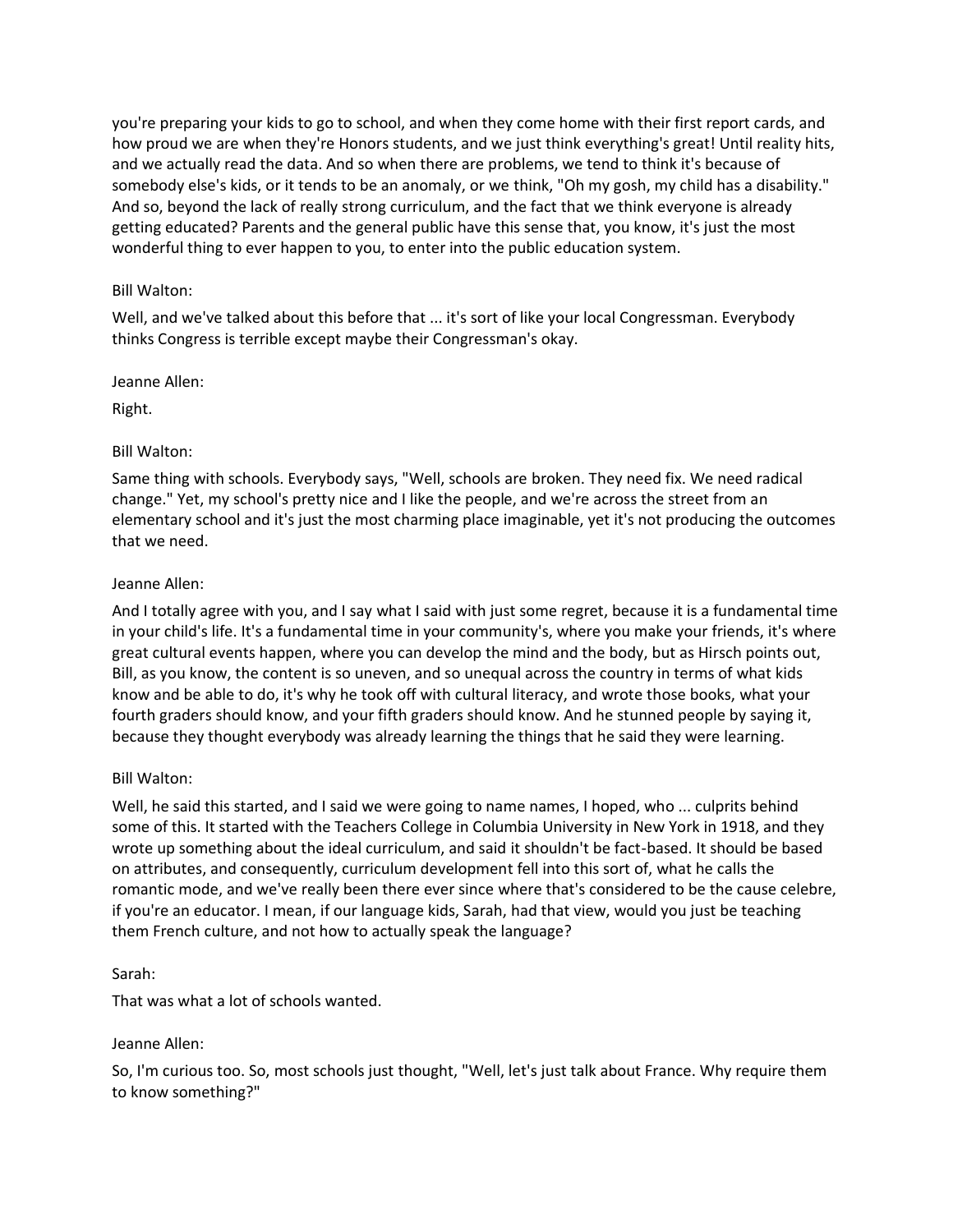you're preparing your kids to go to school, and when they come home with their first report cards, and how proud we are when they're Honors students, and we just think everything's great! Until reality hits, and we actually read the data. And so when there are problems, we tend to think it's because of somebody else's kids, or it tends to be an anomaly, or we think, "Oh my gosh, my child has a disability." And so, beyond the lack of really strong curriculum, and the fact that we think everyone is already getting educated? Parents and the general public have this sense that, you know, it's just the most wonderful thing to ever happen to you, to enter into the public education system.

# Bill Walton:

Well, and we've talked about this before that ... it's sort of like your local Congressman. Everybody thinks Congress is terrible except maybe their Congressman's okay.

Jeanne Allen:

Right.

## Bill Walton:

Same thing with schools. Everybody says, "Well, schools are broken. They need fix. We need radical change." Yet, my school's pretty nice and I like the people, and we're across the street from an elementary school and it's just the most charming place imaginable, yet it's not producing the outcomes that we need.

## Jeanne Allen:

And I totally agree with you, and I say what I said with just some regret, because it is a fundamental time in your child's life. It's a fundamental time in your community's, where you make your friends, it's where great cultural events happen, where you can develop the mind and the body, but as Hirsch points out, Bill, as you know, the content is so uneven, and so unequal across the country in terms of what kids know and be able to do, it's why he took off with cultural literacy, and wrote those books, what your fourth graders should know, and your fifth graders should know. And he stunned people by saying it, because they thought everybody was already learning the things that he said they were learning.

# Bill Walton:

Well, he said this started, and I said we were going to name names, I hoped, who ... culprits behind some of this. It started with the Teachers College in Columbia University in New York in 1918, and they wrote up something about the ideal curriculum, and said it shouldn't be fact-based. It should be based on attributes, and consequently, curriculum development fell into this sort of, what he calls the romantic mode, and we've really been there ever since where that's considered to be the cause celebre, if you're an educator. I mean, if our language kids, Sarah, had that view, would you just be teaching them French culture, and not how to actually speak the language?

#### Sarah:

That was what a lot of schools wanted.

#### Jeanne Allen:

So, I'm curious too. So, most schools just thought, "Well, let's just talk about France. Why require them to know something?"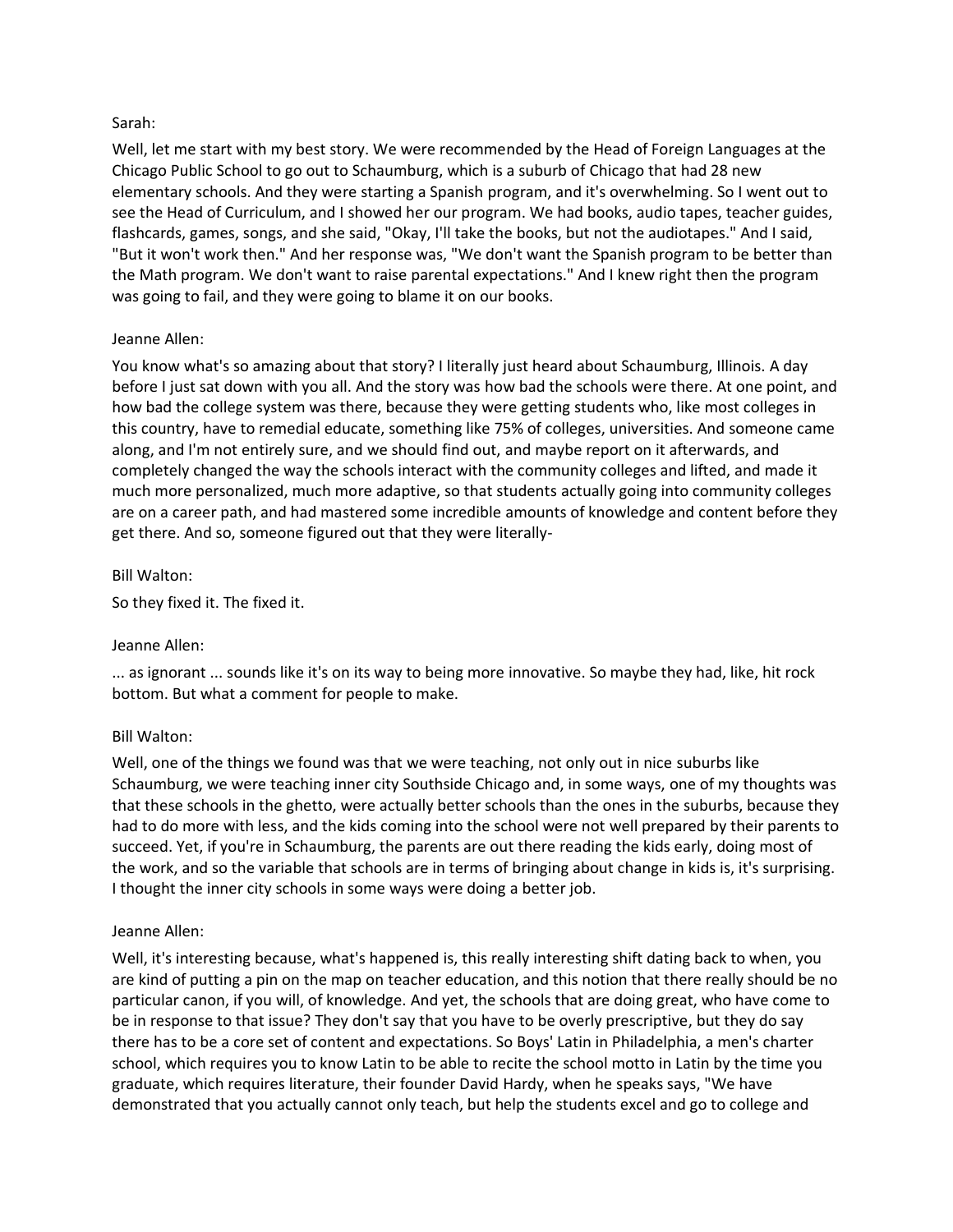# Sarah:

Well, let me start with my best story. We were recommended by the Head of Foreign Languages at the Chicago Public School to go out to Schaumburg, which is a suburb of Chicago that had 28 new elementary schools. And they were starting a Spanish program, and it's overwhelming. So I went out to see the Head of Curriculum, and I showed her our program. We had books, audio tapes, teacher guides, flashcards, games, songs, and she said, "Okay, I'll take the books, but not the audiotapes." And I said, "But it won't work then." And her response was, "We don't want the Spanish program to be better than the Math program. We don't want to raise parental expectations." And I knew right then the program was going to fail, and they were going to blame it on our books.

## Jeanne Allen:

You know what's so amazing about that story? I literally just heard about Schaumburg, Illinois. A day before I just sat down with you all. And the story was how bad the schools were there. At one point, and how bad the college system was there, because they were getting students who, like most colleges in this country, have to remedial educate, something like 75% of colleges, universities. And someone came along, and I'm not entirely sure, and we should find out, and maybe report on it afterwards, and completely changed the way the schools interact with the community colleges and lifted, and made it much more personalized, much more adaptive, so that students actually going into community colleges are on a career path, and had mastered some incredible amounts of knowledge and content before they get there. And so, someone figured out that they were literally-

## Bill Walton:

So they fixed it. The fixed it.

# Jeanne Allen:

... as ignorant ... sounds like it's on its way to being more innovative. So maybe they had, like, hit rock bottom. But what a comment for people to make.

# Bill Walton:

Well, one of the things we found was that we were teaching, not only out in nice suburbs like Schaumburg, we were teaching inner city Southside Chicago and, in some ways, one of my thoughts was that these schools in the ghetto, were actually better schools than the ones in the suburbs, because they had to do more with less, and the kids coming into the school were not well prepared by their parents to succeed. Yet, if you're in Schaumburg, the parents are out there reading the kids early, doing most of the work, and so the variable that schools are in terms of bringing about change in kids is, it's surprising. I thought the inner city schools in some ways were doing a better job.

#### Jeanne Allen:

Well, it's interesting because, what's happened is, this really interesting shift dating back to when, you are kind of putting a pin on the map on teacher education, and this notion that there really should be no particular canon, if you will, of knowledge. And yet, the schools that are doing great, who have come to be in response to that issue? They don't say that you have to be overly prescriptive, but they do say there has to be a core set of content and expectations. So Boys' Latin in Philadelphia, a men's charter school, which requires you to know Latin to be able to recite the school motto in Latin by the time you graduate, which requires literature, their founder David Hardy, when he speaks says, "We have demonstrated that you actually cannot only teach, but help the students excel and go to college and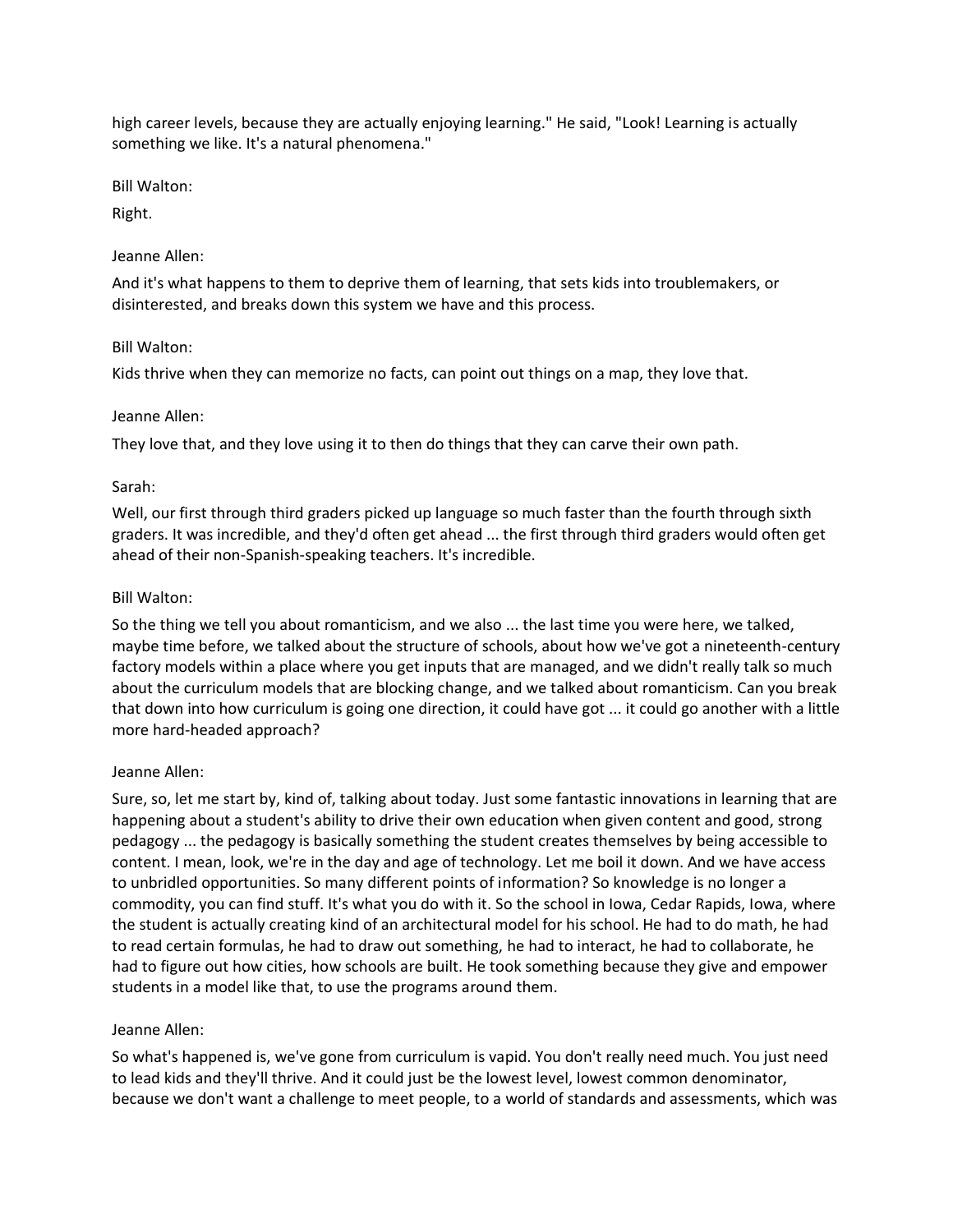high career levels, because they are actually enjoying learning." He said, "Look! Learning is actually something we like. It's a natural phenomena."

Bill Walton:

Right.

# Jeanne Allen:

And it's what happens to them to deprive them of learning, that sets kids into troublemakers, or disinterested, and breaks down this system we have and this process.

# Bill Walton:

Kids thrive when they can memorize no facts, can point out things on a map, they love that.

# Jeanne Allen:

They love that, and they love using it to then do things that they can carve their own path.

# Sarah:

Well, our first through third graders picked up language so much faster than the fourth through sixth graders. It was incredible, and they'd often get ahead ... the first through third graders would often get ahead of their non-Spanish-speaking teachers. It's incredible.

# Bill Walton:

So the thing we tell you about romanticism, and we also ... the last time you were here, we talked, maybe time before, we talked about the structure of schools, about how we've got a nineteenth-century factory models within a place where you get inputs that are managed, and we didn't really talk so much about the curriculum models that are blocking change, and we talked about romanticism. Can you break that down into how curriculum is going one direction, it could have got ... it could go another with a little more hard-headed approach?

# Jeanne Allen:

Sure, so, let me start by, kind of, talking about today. Just some fantastic innovations in learning that are happening about a student's ability to drive their own education when given content and good, strong pedagogy ... the pedagogy is basically something the student creates themselves by being accessible to content. I mean, look, we're in the day and age of technology. Let me boil it down. And we have access to unbridled opportunities. So many different points of information? So knowledge is no longer a commodity, you can find stuff. It's what you do with it. So the school in Iowa, Cedar Rapids, Iowa, where the student is actually creating kind of an architectural model for his school. He had to do math, he had to read certain formulas, he had to draw out something, he had to interact, he had to collaborate, he had to figure out how cities, how schools are built. He took something because they give and empower students in a model like that, to use the programs around them.

# Jeanne Allen:

So what's happened is, we've gone from curriculum is vapid. You don't really need much. You just need to lead kids and they'll thrive. And it could just be the lowest level, lowest common denominator, because we don't want a challenge to meet people, to a world of standards and assessments, which was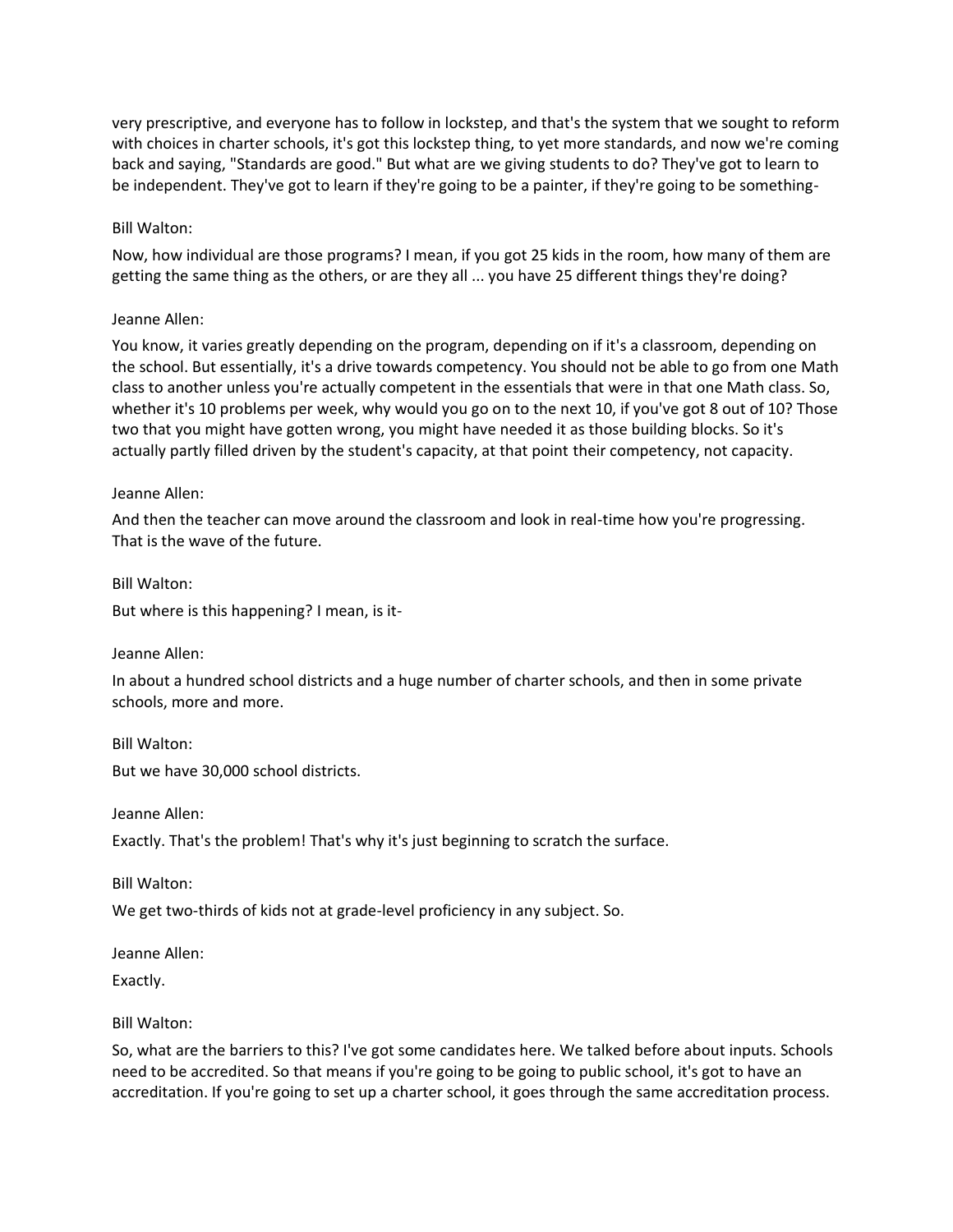very prescriptive, and everyone has to follow in lockstep, and that's the system that we sought to reform with choices in charter schools, it's got this lockstep thing, to yet more standards, and now we're coming back and saying, "Standards are good." But what are we giving students to do? They've got to learn to be independent. They've got to learn if they're going to be a painter, if they're going to be something-

# Bill Walton:

Now, how individual are those programs? I mean, if you got 25 kids in the room, how many of them are getting the same thing as the others, or are they all ... you have 25 different things they're doing?

# Jeanne Allen:

You know, it varies greatly depending on the program, depending on if it's a classroom, depending on the school. But essentially, it's a drive towards competency. You should not be able to go from one Math class to another unless you're actually competent in the essentials that were in that one Math class. So, whether it's 10 problems per week, why would you go on to the next 10, if you've got 8 out of 10? Those two that you might have gotten wrong, you might have needed it as those building blocks. So it's actually partly filled driven by the student's capacity, at that point their competency, not capacity.

# Jeanne Allen:

And then the teacher can move around the classroom and look in real-time how you're progressing. That is the wave of the future.

Bill Walton:

But where is this happening? I mean, is it-

# Jeanne Allen:

In about a hundred school districts and a huge number of charter schools, and then in some private schools, more and more.

Bill Walton: But we have 30,000 school districts.

Jeanne Allen:

Exactly. That's the problem! That's why it's just beginning to scratch the surface.

Bill Walton:

We get two-thirds of kids not at grade-level proficiency in any subject. So.

Jeanne Allen:

Exactly.

Bill Walton:

So, what are the barriers to this? I've got some candidates here. We talked before about inputs. Schools need to be accredited. So that means if you're going to be going to public school, it's got to have an accreditation. If you're going to set up a charter school, it goes through the same accreditation process.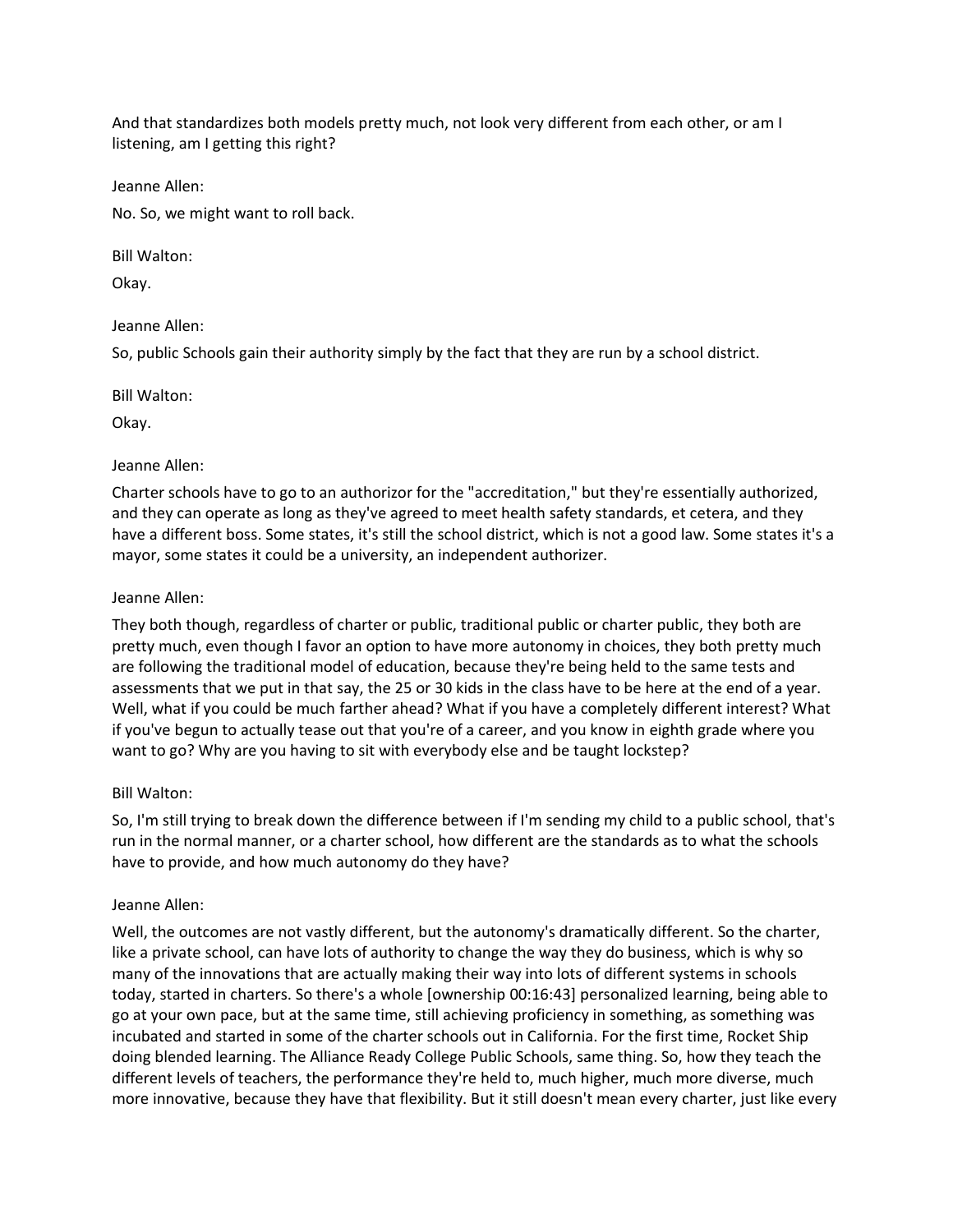And that standardizes both models pretty much, not look very different from each other, or am I listening, am I getting this right?

Jeanne Allen:

No. So, we might want to roll back.

Bill Walton:

Okay.

# Jeanne Allen:

So, public Schools gain their authority simply by the fact that they are run by a school district.

Bill Walton:

Okay.

# Jeanne Allen:

Charter schools have to go to an authorizor for the "accreditation," but they're essentially authorized, and they can operate as long as they've agreed to meet health safety standards, et cetera, and they have a different boss. Some states, it's still the school district, which is not a good law. Some states it's a mayor, some states it could be a university, an independent authorizer.

## Jeanne Allen:

They both though, regardless of charter or public, traditional public or charter public, they both are pretty much, even though I favor an option to have more autonomy in choices, they both pretty much are following the traditional model of education, because they're being held to the same tests and assessments that we put in that say, the 25 or 30 kids in the class have to be here at the end of a year. Well, what if you could be much farther ahead? What if you have a completely different interest? What if you've begun to actually tease out that you're of a career, and you know in eighth grade where you want to go? Why are you having to sit with everybody else and be taught lockstep?

# Bill Walton:

So, I'm still trying to break down the difference between if I'm sending my child to a public school, that's run in the normal manner, or a charter school, how different are the standards as to what the schools have to provide, and how much autonomy do they have?

# Jeanne Allen:

Well, the outcomes are not vastly different, but the autonomy's dramatically different. So the charter, like a private school, can have lots of authority to change the way they do business, which is why so many of the innovations that are actually making their way into lots of different systems in schools today, started in charters. So there's a whole [ownership 00:16:43] personalized learning, being able to go at your own pace, but at the same time, still achieving proficiency in something, as something was incubated and started in some of the charter schools out in California. For the first time, Rocket Ship doing blended learning. The Alliance Ready College Public Schools, same thing. So, how they teach the different levels of teachers, the performance they're held to, much higher, much more diverse, much more innovative, because they have that flexibility. But it still doesn't mean every charter, just like every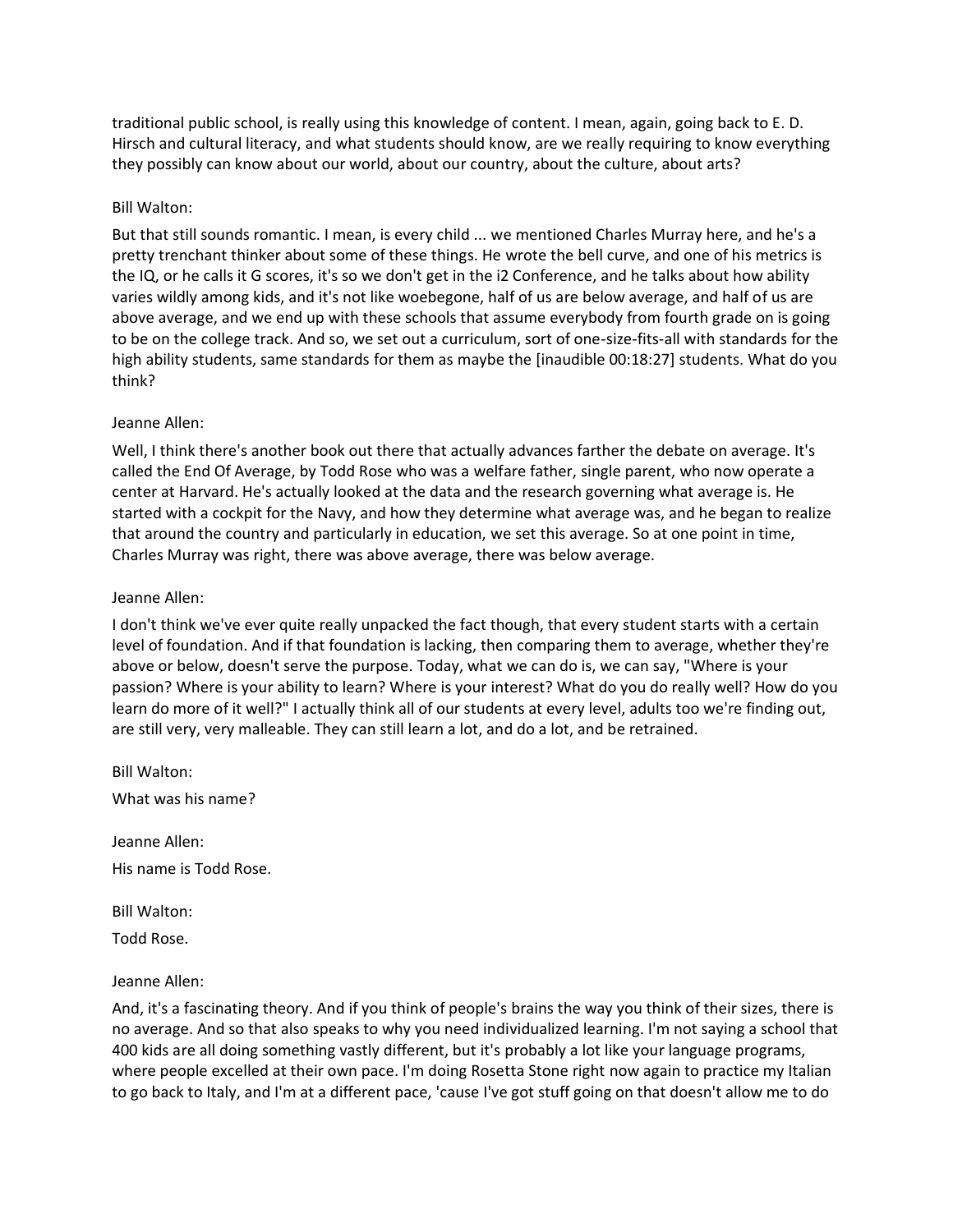traditional public school, is really using this knowledge of content. I mean, again, going back to E. D. Hirsch and cultural literacy, and what students should know, are we really requiring to know everything they possibly can know about our world, about our country, about the culture, about arts?

## Bill Walton:

But that still sounds romantic. I mean, is every child ... we mentioned Charles Murray here, and he's a pretty trenchant thinker about some of these things. He wrote the bell curve, and one of his metrics is the IQ, or he calls it G scores, it's so we don't get in the i2 Conference, and he talks about how ability varies wildly among kids, and it's not like woebegone, half of us are below average, and half of us are above average, and we end up with these schools that assume everybody from fourth grade on is going to be on the college track. And so, we set out a curriculum, sort of one-size-fits-all with standards for the high ability students, same standards for them as maybe the [inaudible 00:18:27] students. What do you think?

## Jeanne Allen:

Well, I think there's another book out there that actually advances farther the debate on average. It's called the End Of Average, by Todd Rose who was a welfare father, single parent, who now operate a center at Harvard. He's actually looked at the data and the research governing what average is. He started with a cockpit for the Navy, and how they determine what average was, and he began to realize that around the country and particularly in education, we set this average. So at one point in time, Charles Murray was right, there was above average, there was below average.

## Jeanne Allen:

I don't think we've ever quite really unpacked the fact though, that every student starts with a certain level of foundation. And if that foundation is lacking, then comparing them to average, whether they're above or below, doesn't serve the purpose. Today, what we can do is, we can say, "Where is your passion? Where is your ability to learn? Where is your interest? What do you do really well? How do you learn do more of it well?" I actually think all of our students at every level, adults too we're finding out, are still very, very malleable. They can still learn a lot, and do a lot, and be retrained.

Bill Walton: What was his name?

Jeanne Allen: His name is Todd Rose.

Bill Walton:

Todd Rose.

# Jeanne Allen:

And, it's a fascinating theory. And if you think of people's brains the way you think of their sizes, there is no average. And so that also speaks to why you need individualized learning. I'm not saying a school that 400 kids are all doing something vastly different, but it's probably a lot like your language programs, where people excelled at their own pace. I'm doing Rosetta Stone right now again to practice my Italian to go back to Italy, and I'm at a different pace, 'cause I've got stuff going on that doesn't allow me to do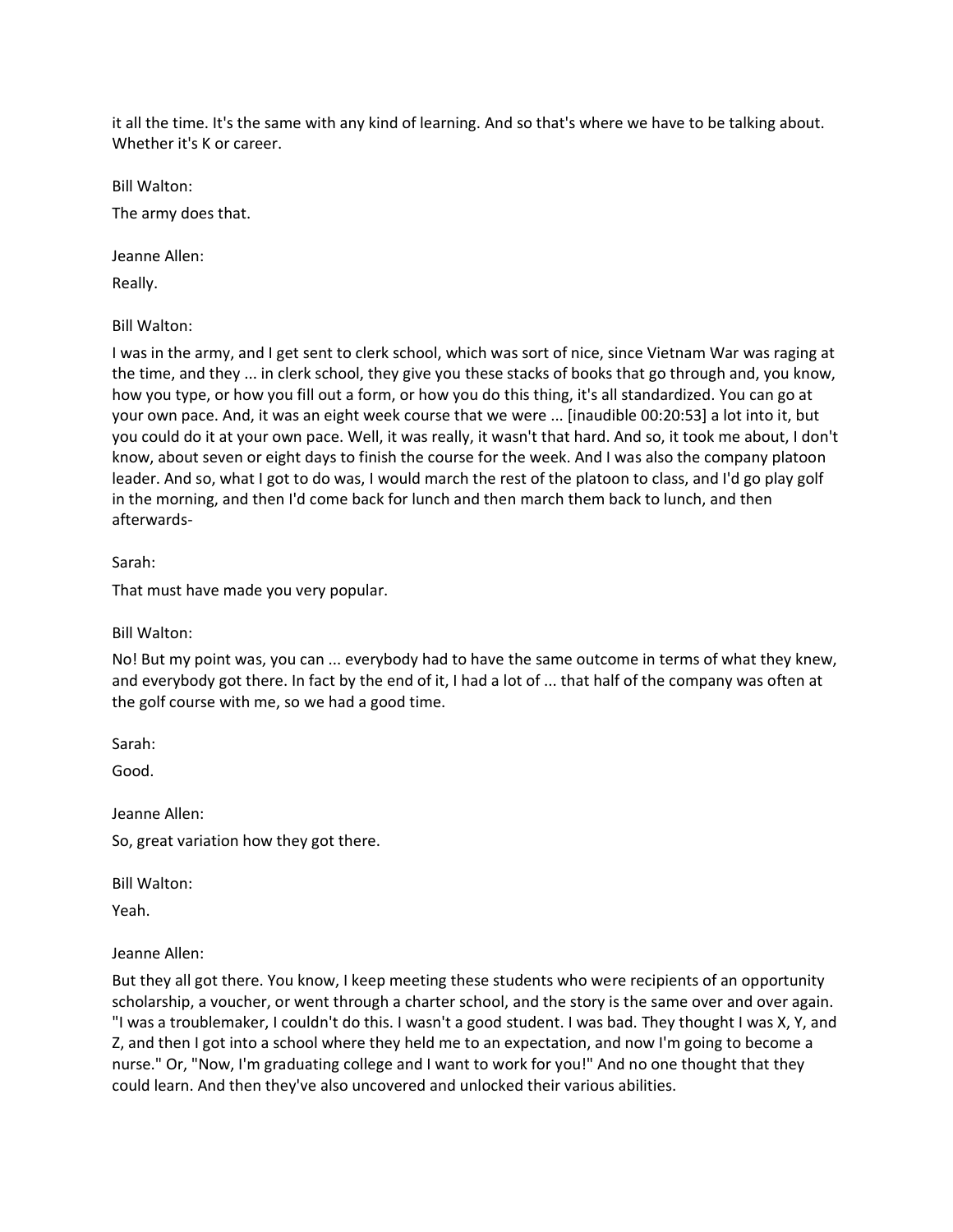it all the time. It's the same with any kind of learning. And so that's where we have to be talking about. Whether it's K or career.

Bill Walton:

The army does that.

Jeanne Allen:

Really.

Bill Walton:

I was in the army, and I get sent to clerk school, which was sort of nice, since Vietnam War was raging at the time, and they ... in clerk school, they give you these stacks of books that go through and, you know, how you type, or how you fill out a form, or how you do this thing, it's all standardized. You can go at your own pace. And, it was an eight week course that we were ... [inaudible 00:20:53] a lot into it, but you could do it at your own pace. Well, it was really, it wasn't that hard. And so, it took me about, I don't know, about seven or eight days to finish the course for the week. And I was also the company platoon leader. And so, what I got to do was, I would march the rest of the platoon to class, and I'd go play golf in the morning, and then I'd come back for lunch and then march them back to lunch, and then afterwards-

Sarah:

That must have made you very popular.

Bill Walton:

No! But my point was, you can ... everybody had to have the same outcome in terms of what they knew, and everybody got there. In fact by the end of it, I had a lot of ... that half of the company was often at the golf course with me, so we had a good time.

Sarah:

Good.

Jeanne Allen:

So, great variation how they got there.

Bill Walton:

Yeah.

#### Jeanne Allen:

But they all got there. You know, I keep meeting these students who were recipients of an opportunity scholarship, a voucher, or went through a charter school, and the story is the same over and over again. "I was a troublemaker, I couldn't do this. I wasn't a good student. I was bad. They thought I was X, Y, and Z, and then I got into a school where they held me to an expectation, and now I'm going to become a nurse." Or, "Now, I'm graduating college and I want to work for you!" And no one thought that they could learn. And then they've also uncovered and unlocked their various abilities.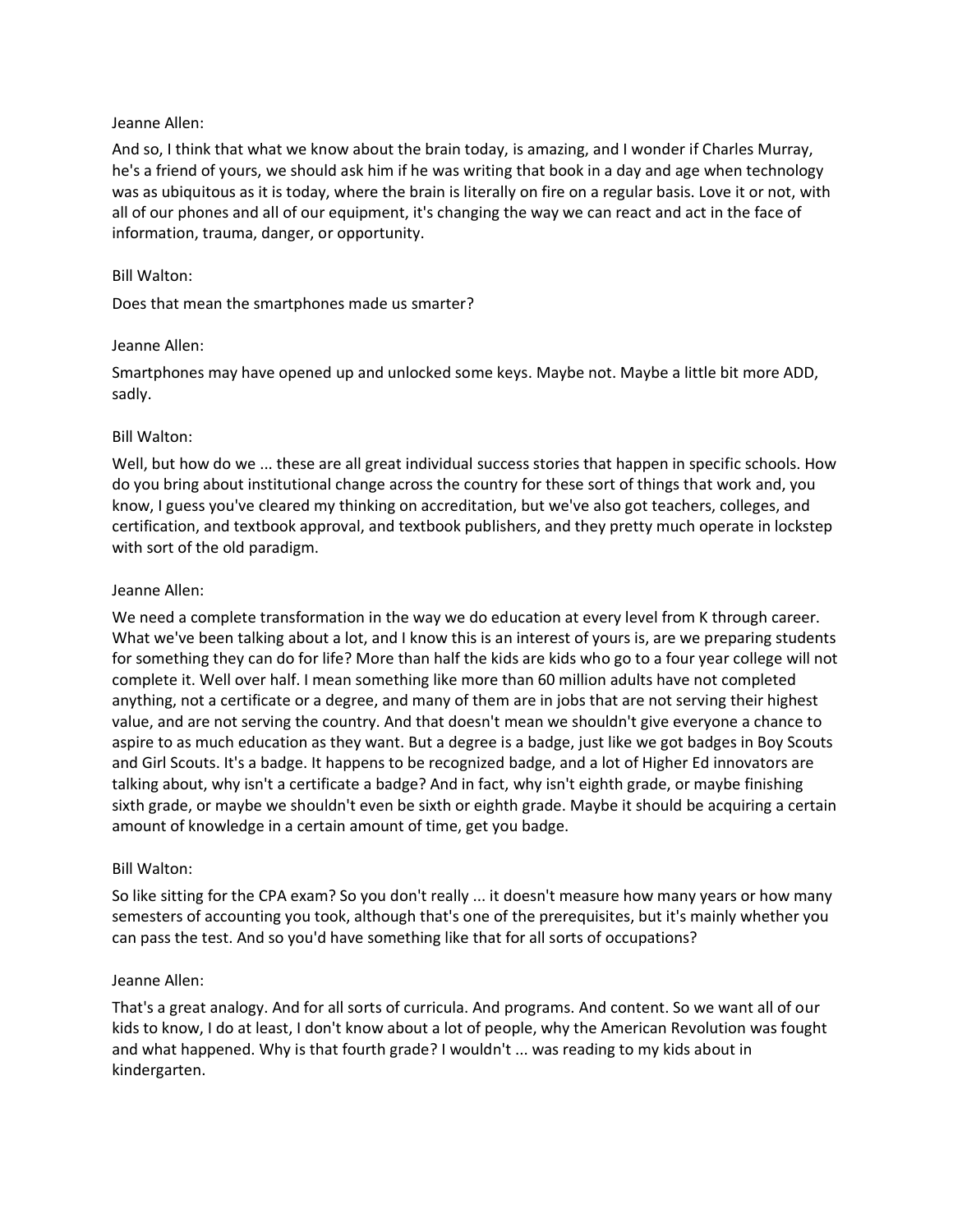## Jeanne Allen:

And so, I think that what we know about the brain today, is amazing, and I wonder if Charles Murray, he's a friend of yours, we should ask him if he was writing that book in a day and age when technology was as ubiquitous as it is today, where the brain is literally on fire on a regular basis. Love it or not, with all of our phones and all of our equipment, it's changing the way we can react and act in the face of information, trauma, danger, or opportunity.

## Bill Walton:

Does that mean the smartphones made us smarter?

## Jeanne Allen:

Smartphones may have opened up and unlocked some keys. Maybe not. Maybe a little bit more ADD, sadly.

## Bill Walton:

Well, but how do we ... these are all great individual success stories that happen in specific schools. How do you bring about institutional change across the country for these sort of things that work and, you know, I guess you've cleared my thinking on accreditation, but we've also got teachers, colleges, and certification, and textbook approval, and textbook publishers, and they pretty much operate in lockstep with sort of the old paradigm.

## Jeanne Allen:

We need a complete transformation in the way we do education at every level from K through career. What we've been talking about a lot, and I know this is an interest of yours is, are we preparing students for something they can do for life? More than half the kids are kids who go to a four year college will not complete it. Well over half. I mean something like more than 60 million adults have not completed anything, not a certificate or a degree, and many of them are in jobs that are not serving their highest value, and are not serving the country. And that doesn't mean we shouldn't give everyone a chance to aspire to as much education as they want. But a degree is a badge, just like we got badges in Boy Scouts and Girl Scouts. It's a badge. It happens to be recognized badge, and a lot of Higher Ed innovators are talking about, why isn't a certificate a badge? And in fact, why isn't eighth grade, or maybe finishing sixth grade, or maybe we shouldn't even be sixth or eighth grade. Maybe it should be acquiring a certain amount of knowledge in a certain amount of time, get you badge.

# Bill Walton:

So like sitting for the CPA exam? So you don't really ... it doesn't measure how many years or how many semesters of accounting you took, although that's one of the prerequisites, but it's mainly whether you can pass the test. And so you'd have something like that for all sorts of occupations?

#### Jeanne Allen:

That's a great analogy. And for all sorts of curricula. And programs. And content. So we want all of our kids to know, I do at least, I don't know about a lot of people, why the American Revolution was fought and what happened. Why is that fourth grade? I wouldn't ... was reading to my kids about in kindergarten.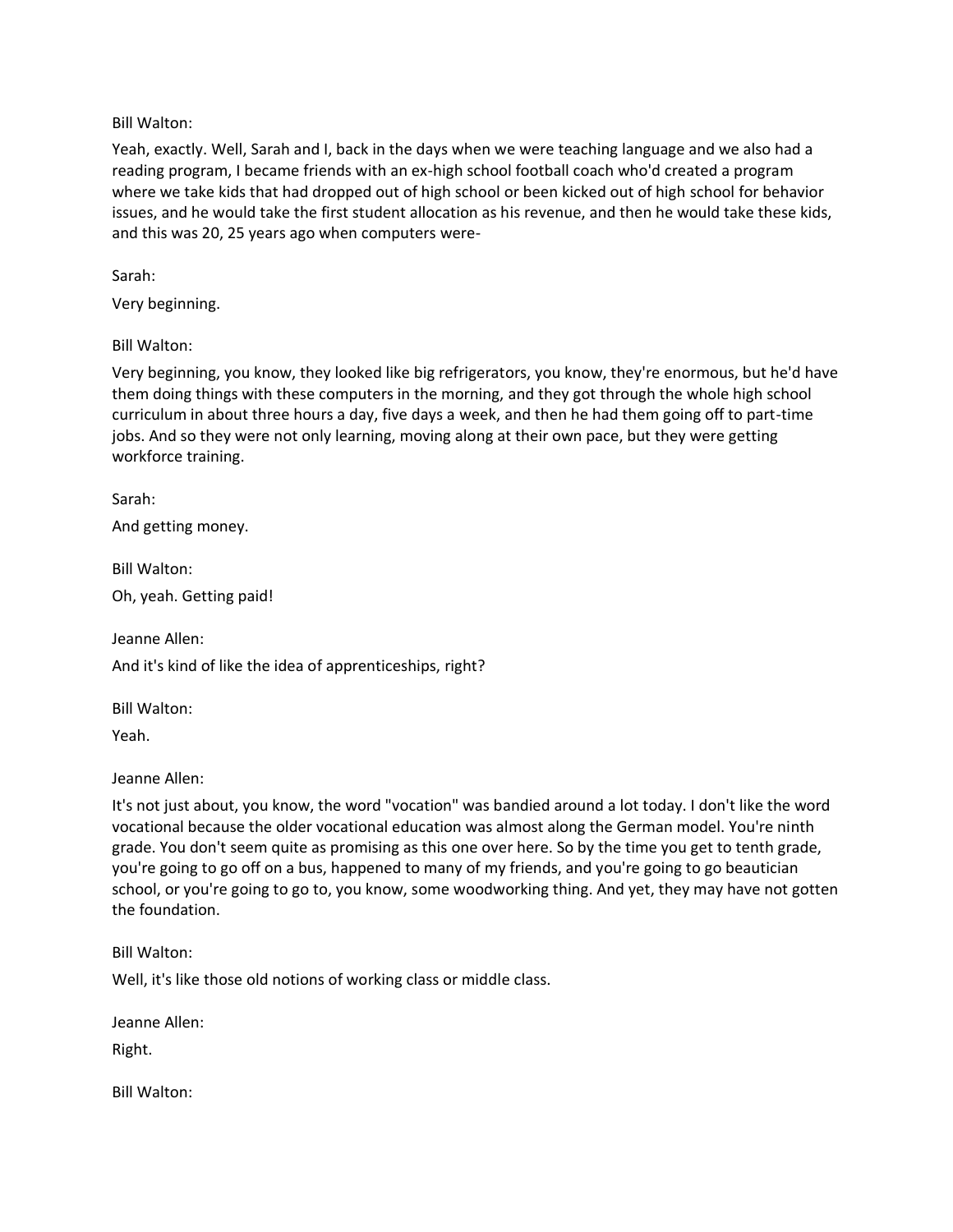# Bill Walton:

Yeah, exactly. Well, Sarah and I, back in the days when we were teaching language and we also had a reading program, I became friends with an ex-high school football coach who'd created a program where we take kids that had dropped out of high school or been kicked out of high school for behavior issues, and he would take the first student allocation as his revenue, and then he would take these kids, and this was 20, 25 years ago when computers were-

Sarah:

Very beginning.

## Bill Walton:

Very beginning, you know, they looked like big refrigerators, you know, they're enormous, but he'd have them doing things with these computers in the morning, and they got through the whole high school curriculum in about three hours a day, five days a week, and then he had them going off to part-time jobs. And so they were not only learning, moving along at their own pace, but they were getting workforce training.

Sarah:

And getting money.

Bill Walton:

Oh, yeah. Getting paid!

Jeanne Allen:

And it's kind of like the idea of apprenticeships, right?

Bill Walton:

Yeah.

Jeanne Allen:

It's not just about, you know, the word "vocation" was bandied around a lot today. I don't like the word vocational because the older vocational education was almost along the German model. You're ninth grade. You don't seem quite as promising as this one over here. So by the time you get to tenth grade, you're going to go off on a bus, happened to many of my friends, and you're going to go beautician school, or you're going to go to, you know, some woodworking thing. And yet, they may have not gotten the foundation.

Bill Walton:

Well, it's like those old notions of working class or middle class.

Jeanne Allen:

Right.

Bill Walton: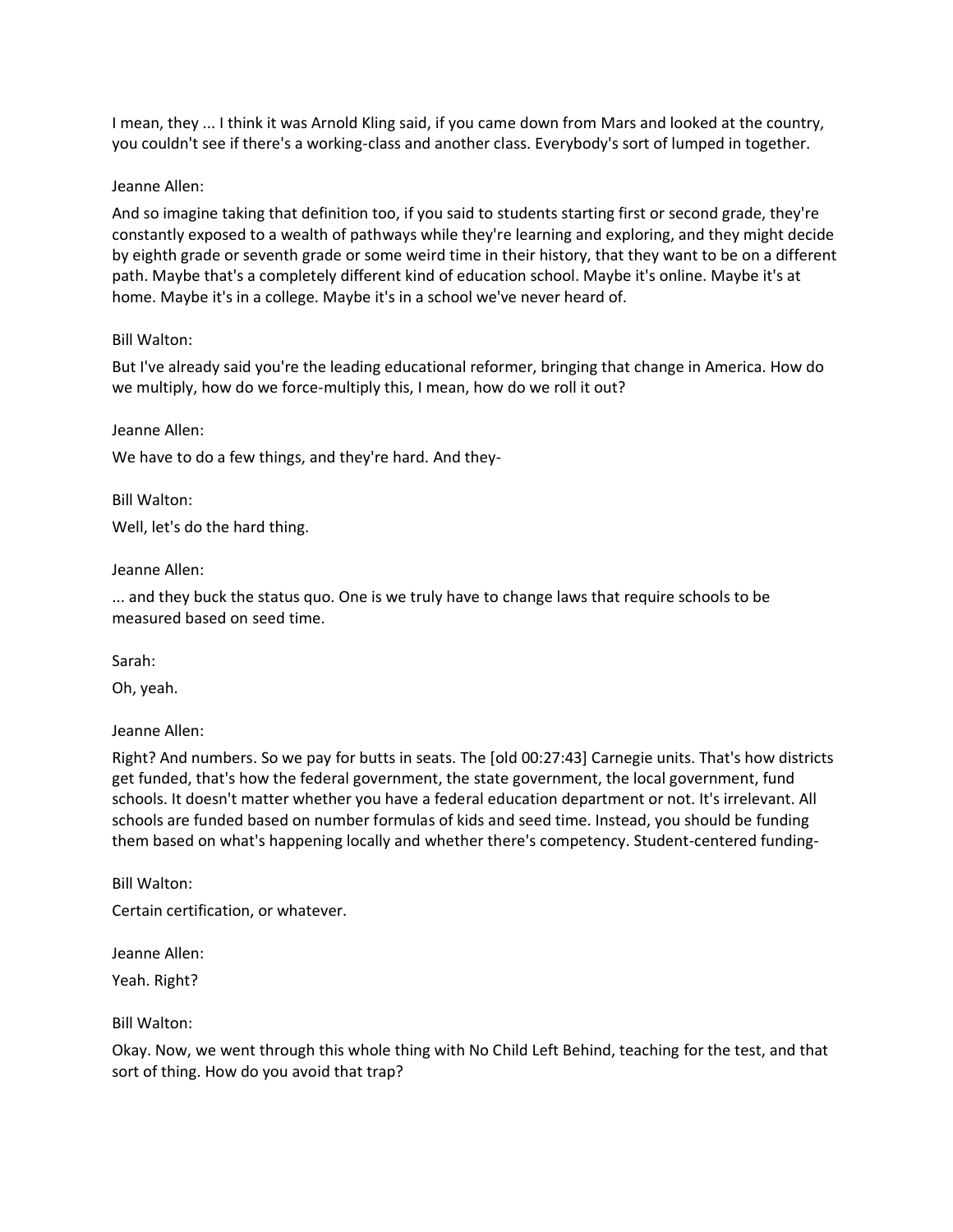I mean, they ... I think it was Arnold Kling said, if you came down from Mars and looked at the country, you couldn't see if there's a working-class and another class. Everybody's sort of lumped in together.

## Jeanne Allen:

And so imagine taking that definition too, if you said to students starting first or second grade, they're constantly exposed to a wealth of pathways while they're learning and exploring, and they might decide by eighth grade or seventh grade or some weird time in their history, that they want to be on a different path. Maybe that's a completely different kind of education school. Maybe it's online. Maybe it's at home. Maybe it's in a college. Maybe it's in a school we've never heard of.

## Bill Walton:

But I've already said you're the leading educational reformer, bringing that change in America. How do we multiply, how do we force-multiply this, I mean, how do we roll it out?

## Jeanne Allen:

We have to do a few things, and they're hard. And they-

Bill Walton:

Well, let's do the hard thing.

## Jeanne Allen:

... and they buck the status quo. One is we truly have to change laws that require schools to be measured based on seed time.

Sarah:

Oh, yeah.

# Jeanne Allen:

Right? And numbers. So we pay for butts in seats. The [old 00:27:43] Carnegie units. That's how districts get funded, that's how the federal government, the state government, the local government, fund schools. It doesn't matter whether you have a federal education department or not. It's irrelevant. All schools are funded based on number formulas of kids and seed time. Instead, you should be funding them based on what's happening locally and whether there's competency. Student-centered funding-

Bill Walton:

Certain certification, or whatever.

Jeanne Allen: Yeah. Right?

Bill Walton:

Okay. Now, we went through this whole thing with No Child Left Behind, teaching for the test, and that sort of thing. How do you avoid that trap?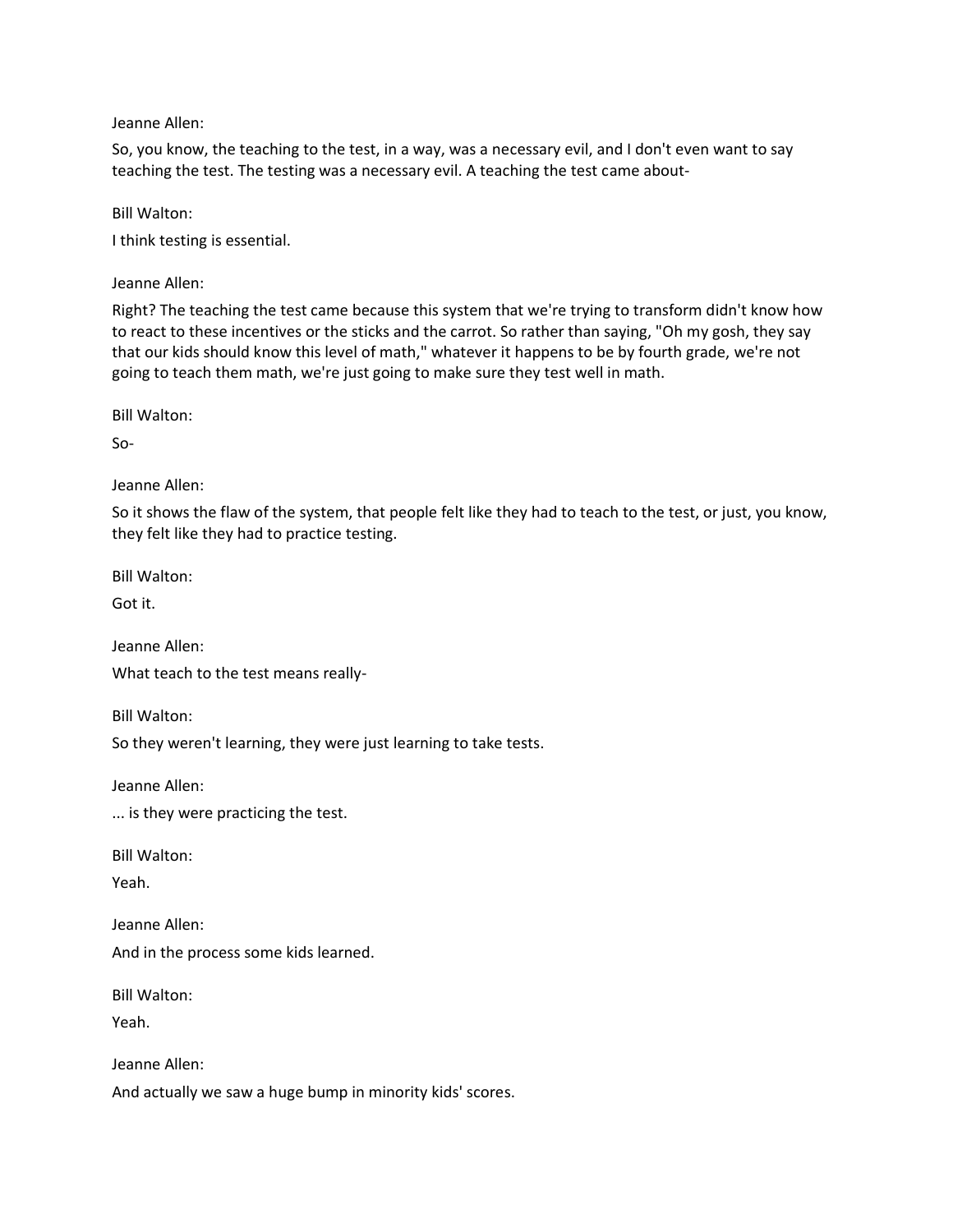Jeanne Allen:

So, you know, the teaching to the test, in a way, was a necessary evil, and I don't even want to say teaching the test. The testing was a necessary evil. A teaching the test came about-

Bill Walton:

I think testing is essential.

Jeanne Allen:

Right? The teaching the test came because this system that we're trying to transform didn't know how to react to these incentives or the sticks and the carrot. So rather than saying, "Oh my gosh, they say that our kids should know this level of math," whatever it happens to be by fourth grade, we're not going to teach them math, we're just going to make sure they test well in math.

Bill Walton:

So-

Jeanne Allen:

So it shows the flaw of the system, that people felt like they had to teach to the test, or just, you know, they felt like they had to practice testing.

Bill Walton:

Got it.

Jeanne Allen:

What teach to the test means really-

Bill Walton:

So they weren't learning, they were just learning to take tests.

Jeanne Allen:

... is they were practicing the test.

Bill Walton:

Yeah.

Jeanne Allen: And in the process some kids learned.

Bill Walton:

Yeah.

Jeanne Allen:

And actually we saw a huge bump in minority kids' scores.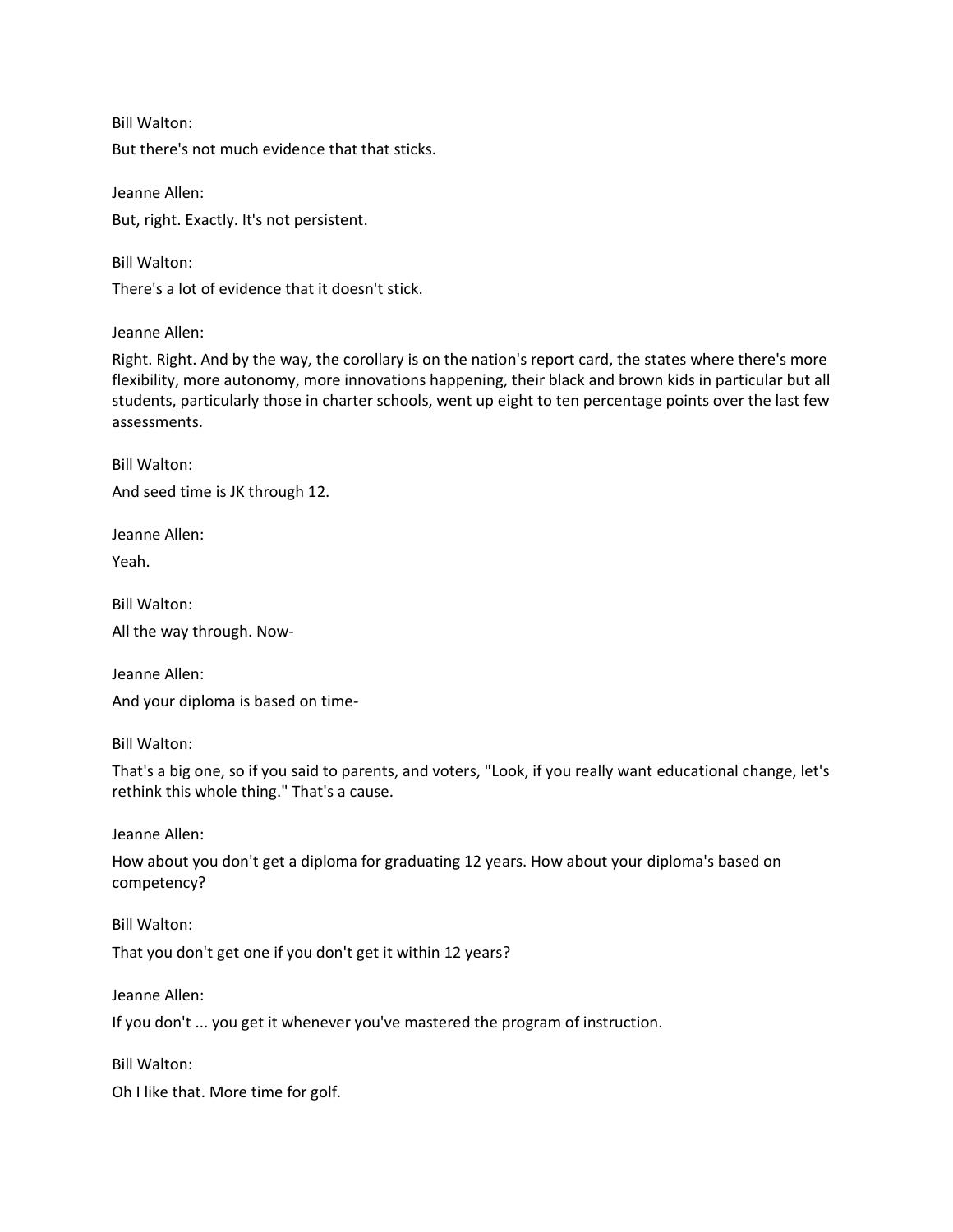Bill Walton:

But there's not much evidence that that sticks.

Jeanne Allen: But, right. Exactly. It's not persistent.

Bill Walton:

There's a lot of evidence that it doesn't stick.

Jeanne Allen:

Right. Right. And by the way, the corollary is on the nation's report card, the states where there's more flexibility, more autonomy, more innovations happening, their black and brown kids in particular but all students, particularly those in charter schools, went up eight to ten percentage points over the last few assessments.

Bill Walton: And seed time is JK through 12.

Jeanne Allen: Yeah.

Bill Walton:

All the way through. Now-

Jeanne Allen: And your diploma is based on time-

Bill Walton:

That's a big one, so if you said to parents, and voters, "Look, if you really want educational change, let's rethink this whole thing." That's a cause.

Jeanne Allen:

How about you don't get a diploma for graduating 12 years. How about your diploma's based on competency?

That you don't get one if you don't get it within 12 years?

Jeanne Allen:

Bill Walton:

If you don't ... you get it whenever you've mastered the program of instruction.

Bill Walton:

Oh I like that. More time for golf.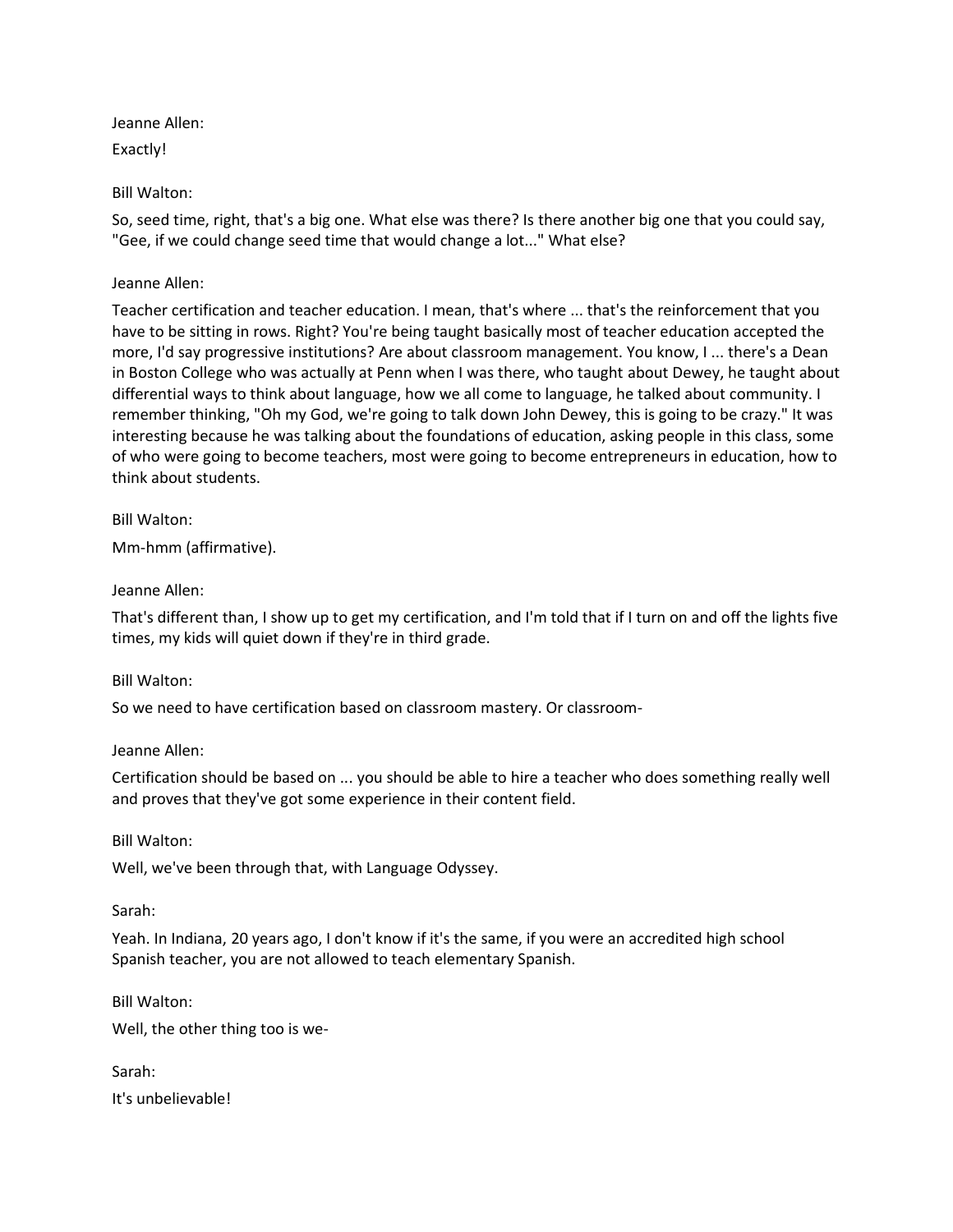Jeanne Allen:

Exactly!

Bill Walton:

So, seed time, right, that's a big one. What else was there? Is there another big one that you could say, "Gee, if we could change seed time that would change a lot..." What else?

# Jeanne Allen:

Teacher certification and teacher education. I mean, that's where ... that's the reinforcement that you have to be sitting in rows. Right? You're being taught basically most of teacher education accepted the more, I'd say progressive institutions? Are about classroom management. You know, I ... there's a Dean in Boston College who was actually at Penn when I was there, who taught about Dewey, he taught about differential ways to think about language, how we all come to language, he talked about community. I remember thinking, "Oh my God, we're going to talk down John Dewey, this is going to be crazy." It was interesting because he was talking about the foundations of education, asking people in this class, some of who were going to become teachers, most were going to become entrepreneurs in education, how to think about students.

Bill Walton:

Mm-hmm (affirmative).

# Jeanne Allen:

That's different than, I show up to get my certification, and I'm told that if I turn on and off the lights five times, my kids will quiet down if they're in third grade.

# Bill Walton:

So we need to have certification based on classroom mastery. Or classroom-

Jeanne Allen:

Certification should be based on ... you should be able to hire a teacher who does something really well and proves that they've got some experience in their content field.

Bill Walton:

Well, we've been through that, with Language Odyssey.

Sarah:

Yeah. In Indiana, 20 years ago, I don't know if it's the same, if you were an accredited high school Spanish teacher, you are not allowed to teach elementary Spanish.

Bill Walton:

Well, the other thing too is we-

Sarah: It's unbelievable!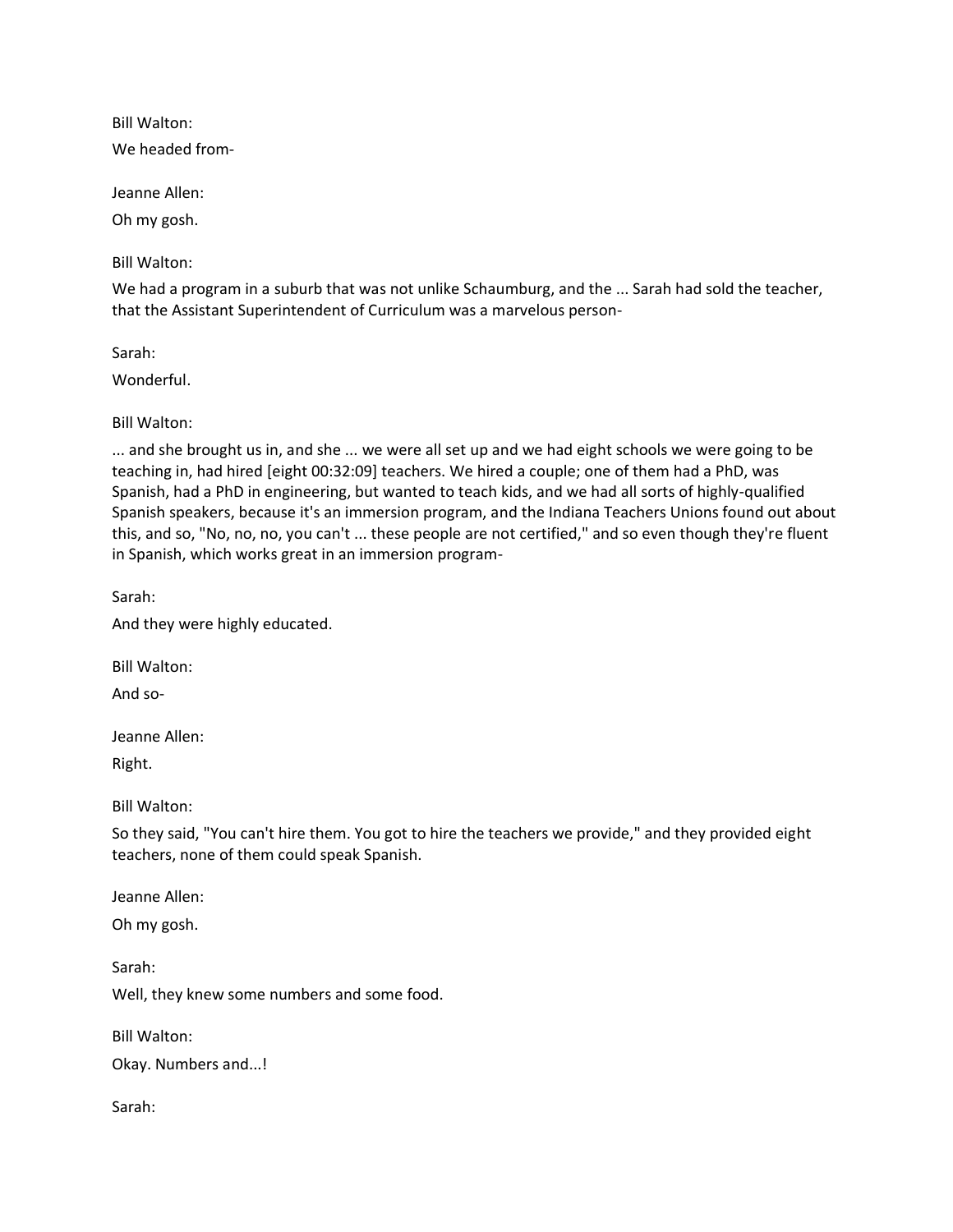Bill Walton:

We headed from-

Jeanne Allen:

Oh my gosh.

Bill Walton:

We had a program in a suburb that was not unlike Schaumburg, and the ... Sarah had sold the teacher, that the Assistant Superintendent of Curriculum was a marvelous person-

Sarah:

Wonderful.

Bill Walton:

... and she brought us in, and she ... we were all set up and we had eight schools we were going to be teaching in, had hired [eight 00:32:09] teachers. We hired a couple; one of them had a PhD, was Spanish, had a PhD in engineering, but wanted to teach kids, and we had all sorts of highly-qualified Spanish speakers, because it's an immersion program, and the Indiana Teachers Unions found out about this, and so, "No, no, no, you can't ... these people are not certified," and so even though they're fluent in Spanish, which works great in an immersion program-

Sarah:

And they were highly educated.

Bill Walton:

And so-

Jeanne Allen:

Right.

Bill Walton:

So they said, "You can't hire them. You got to hire the teachers we provide," and they provided eight teachers, none of them could speak Spanish.

Jeanne Allen:

Oh my gosh.

Sarah: Well, they knew some numbers and some food.

Bill Walton:

Okay. Numbers and...!

Sarah: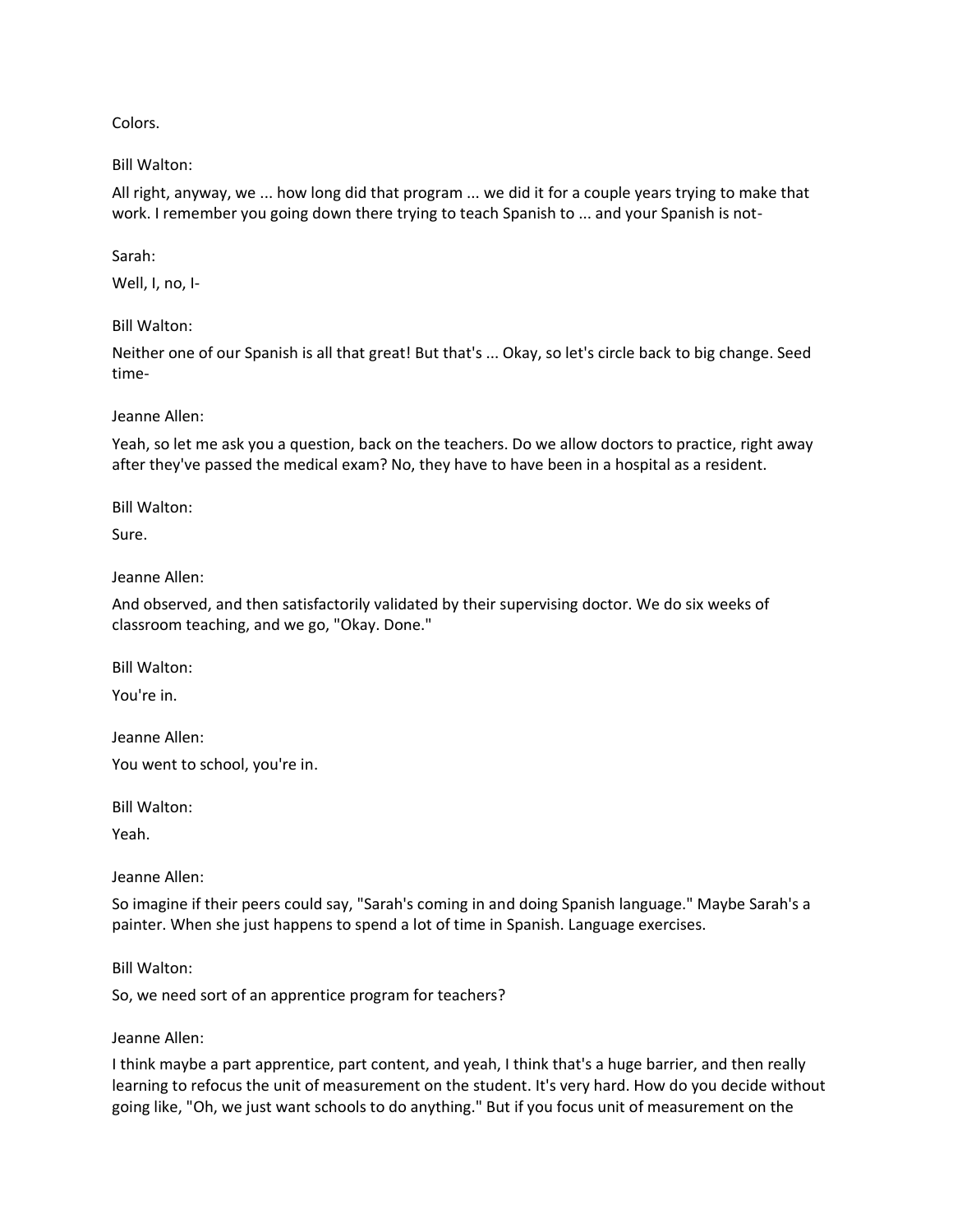Colors.

Bill Walton:

All right, anyway, we ... how long did that program ... we did it for a couple years trying to make that work. I remember you going down there trying to teach Spanish to ... and your Spanish is not-

Sarah:

Well, I, no, I-

Bill Walton:

Neither one of our Spanish is all that great! But that's ... Okay, so let's circle back to big change. Seed time-

Jeanne Allen:

Yeah, so let me ask you a question, back on the teachers. Do we allow doctors to practice, right away after they've passed the medical exam? No, they have to have been in a hospital as a resident.

Bill Walton:

Sure.

Jeanne Allen:

And observed, and then satisfactorily validated by their supervising doctor. We do six weeks of classroom teaching, and we go, "Okay. Done."

Bill Walton:

You're in.

Jeanne Allen:

You went to school, you're in.

Bill Walton:

Yeah.

Jeanne Allen:

So imagine if their peers could say, "Sarah's coming in and doing Spanish language." Maybe Sarah's a painter. When she just happens to spend a lot of time in Spanish. Language exercises.

Bill Walton:

So, we need sort of an apprentice program for teachers?

Jeanne Allen:

I think maybe a part apprentice, part content, and yeah, I think that's a huge barrier, and then really learning to refocus the unit of measurement on the student. It's very hard. How do you decide without going like, "Oh, we just want schools to do anything." But if you focus unit of measurement on the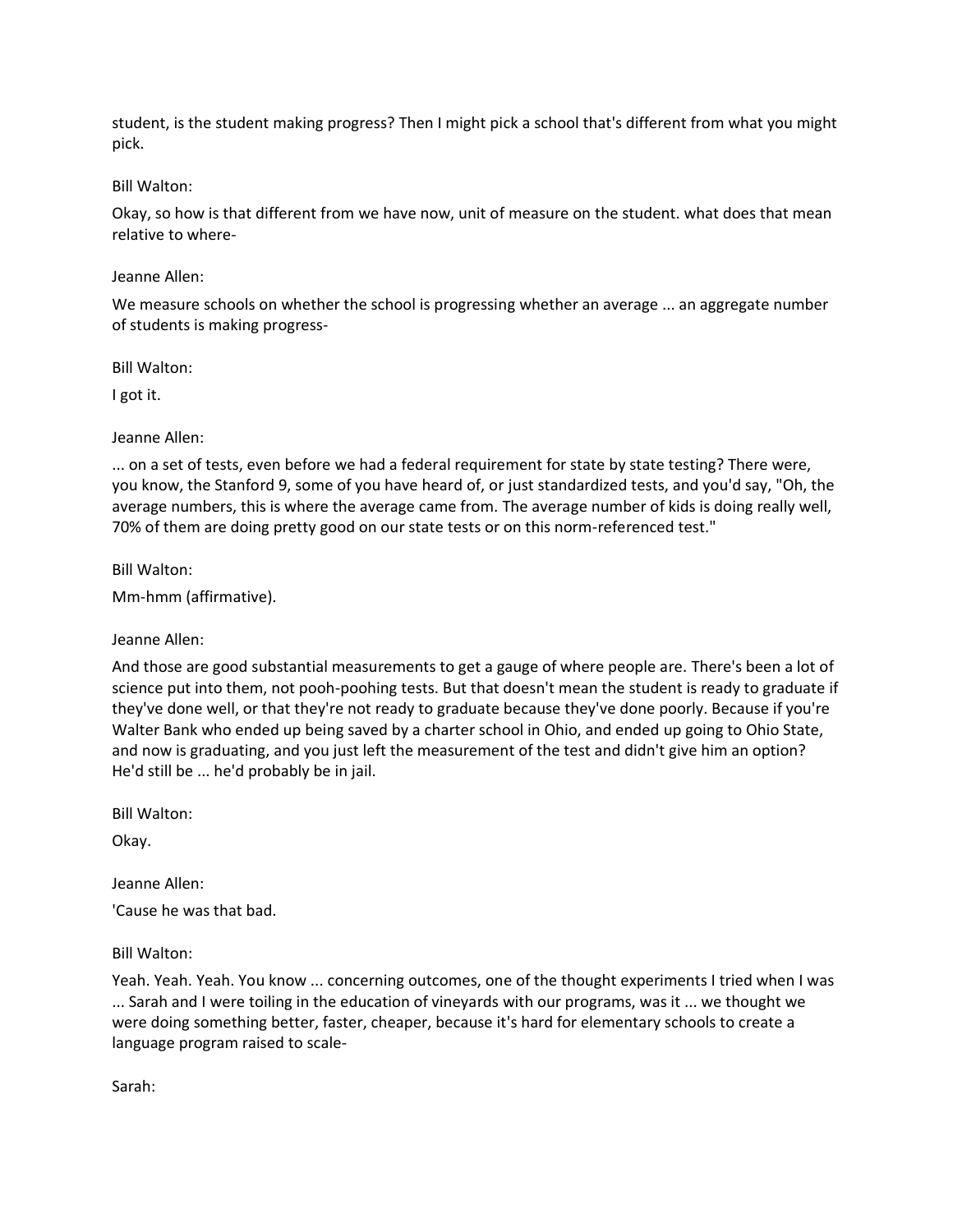student, is the student making progress? Then I might pick a school that's different from what you might pick.

## Bill Walton:

Okay, so how is that different from we have now, unit of measure on the student. what does that mean relative to where-

## Jeanne Allen:

We measure schools on whether the school is progressing whether an average ... an aggregate number of students is making progress-

Bill Walton:

I got it.

## Jeanne Allen:

... on a set of tests, even before we had a federal requirement for state by state testing? There were, you know, the Stanford 9, some of you have heard of, or just standardized tests, and you'd say, "Oh, the average numbers, this is where the average came from. The average number of kids is doing really well, 70% of them are doing pretty good on our state tests or on this norm-referenced test."

Bill Walton:

Mm-hmm (affirmative).

# Jeanne Allen:

And those are good substantial measurements to get a gauge of where people are. There's been a lot of science put into them, not pooh-poohing tests. But that doesn't mean the student is ready to graduate if they've done well, or that they're not ready to graduate because they've done poorly. Because if you're Walter Bank who ended up being saved by a charter school in Ohio, and ended up going to Ohio State, and now is graduating, and you just left the measurement of the test and didn't give him an option? He'd still be ... he'd probably be in jail.

Bill Walton:

Okay.

Jeanne Allen:

'Cause he was that bad.

# Bill Walton:

Yeah. Yeah. Yeah. You know ... concerning outcomes, one of the thought experiments I tried when I was ... Sarah and I were toiling in the education of vineyards with our programs, was it ... we thought we were doing something better, faster, cheaper, because it's hard for elementary schools to create a language program raised to scale-

Sarah: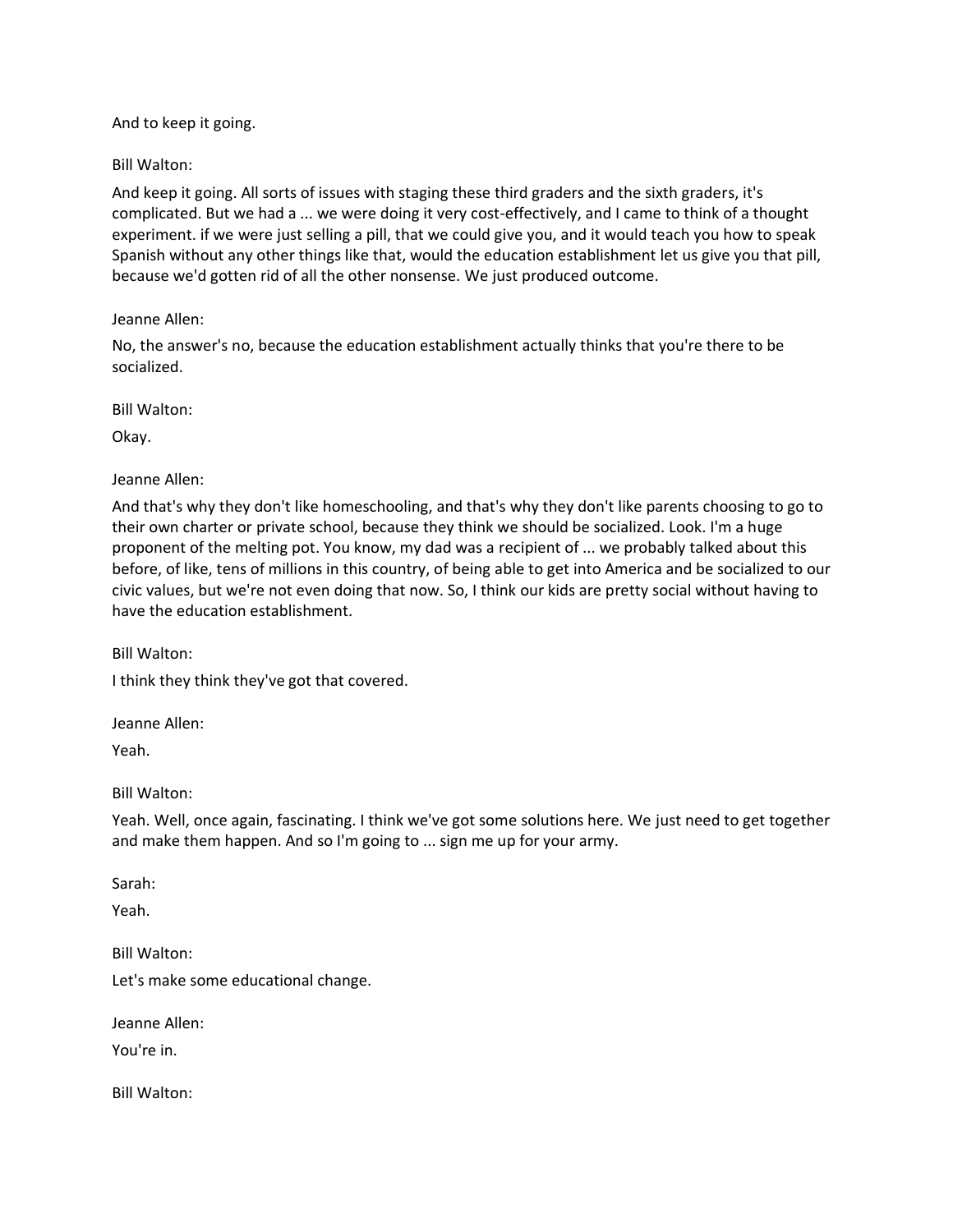And to keep it going.

Bill Walton:

And keep it going. All sorts of issues with staging these third graders and the sixth graders, it's complicated. But we had a ... we were doing it very cost-effectively, and I came to think of a thought experiment. if we were just selling a pill, that we could give you, and it would teach you how to speak Spanish without any other things like that, would the education establishment let us give you that pill, because we'd gotten rid of all the other nonsense. We just produced outcome.

Jeanne Allen:

No, the answer's no, because the education establishment actually thinks that you're there to be socialized.

Bill Walton:

Okay.

Jeanne Allen:

And that's why they don't like homeschooling, and that's why they don't like parents choosing to go to their own charter or private school, because they think we should be socialized. Look. I'm a huge proponent of the melting pot. You know, my dad was a recipient of ... we probably talked about this before, of like, tens of millions in this country, of being able to get into America and be socialized to our civic values, but we're not even doing that now. So, I think our kids are pretty social without having to have the education establishment.

Bill Walton:

I think they think they've got that covered.

Jeanne Allen:

Yeah.

Bill Walton:

Yeah. Well, once again, fascinating. I think we've got some solutions here. We just need to get together and make them happen. And so I'm going to ... sign me up for your army.

Sarah:

Yeah.

Bill Walton: Let's make some educational change.

Jeanne Allen:

You're in.

Bill Walton: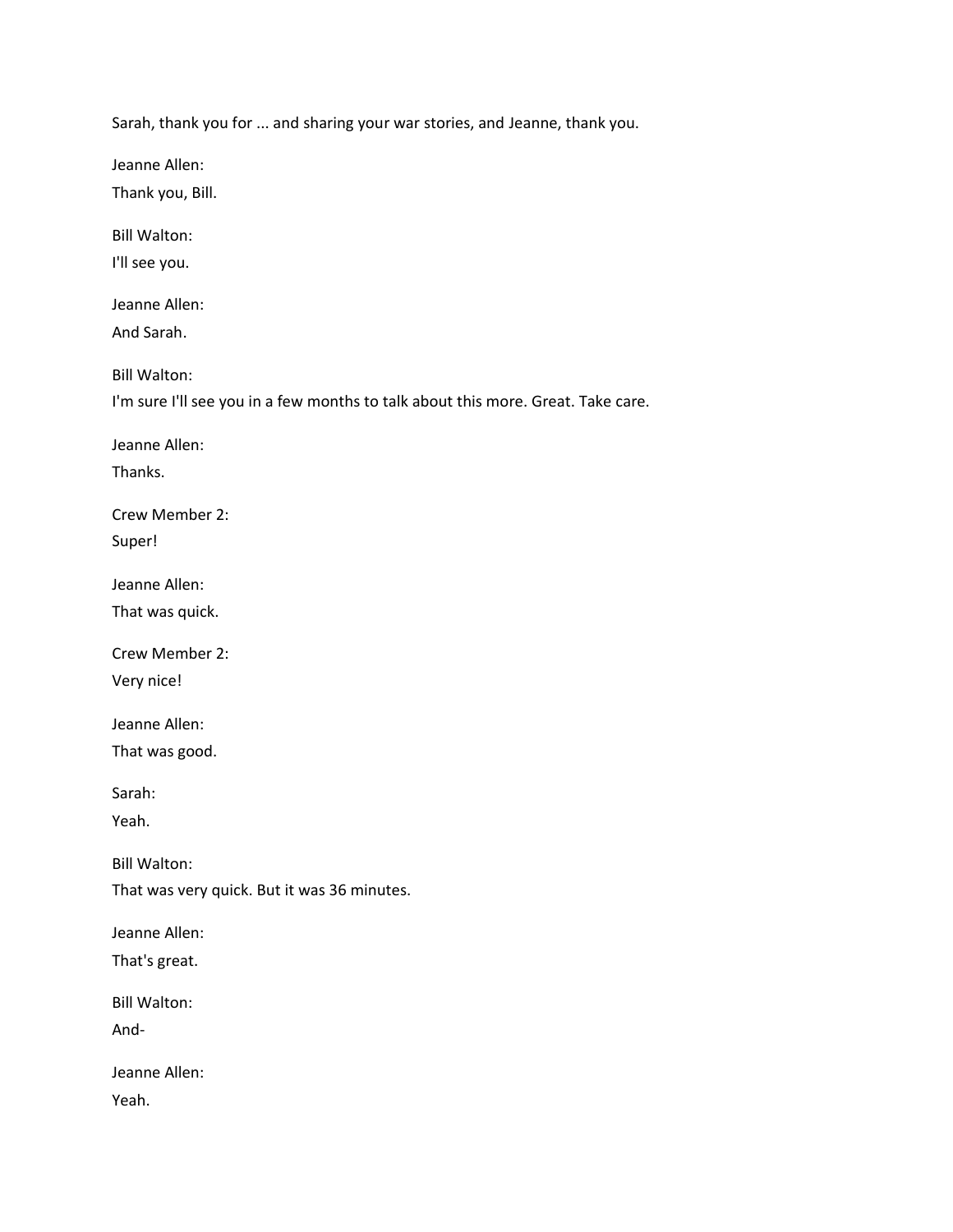Sarah, thank you for ... and sharing your war stories, and Jeanne, thank you.

Jeanne Allen:

Thank you, Bill.

Bill Walton:

I'll see you.

Jeanne Allen:

And Sarah.

Bill Walton:

I'm sure I'll see you in a few months to talk about this more. Great. Take care.

Jeanne Allen:

Thanks.

Crew Member 2:

Super!

Jeanne Allen:

That was quick.

Crew Member 2:

Very nice!

Jeanne Allen:

That was good.

Sarah:

Yeah.

Bill Walton:

That was very quick. But it was 36 minutes.

Jeanne Allen:

That's great.

Bill Walton:

And-

Jeanne Allen:

Yeah.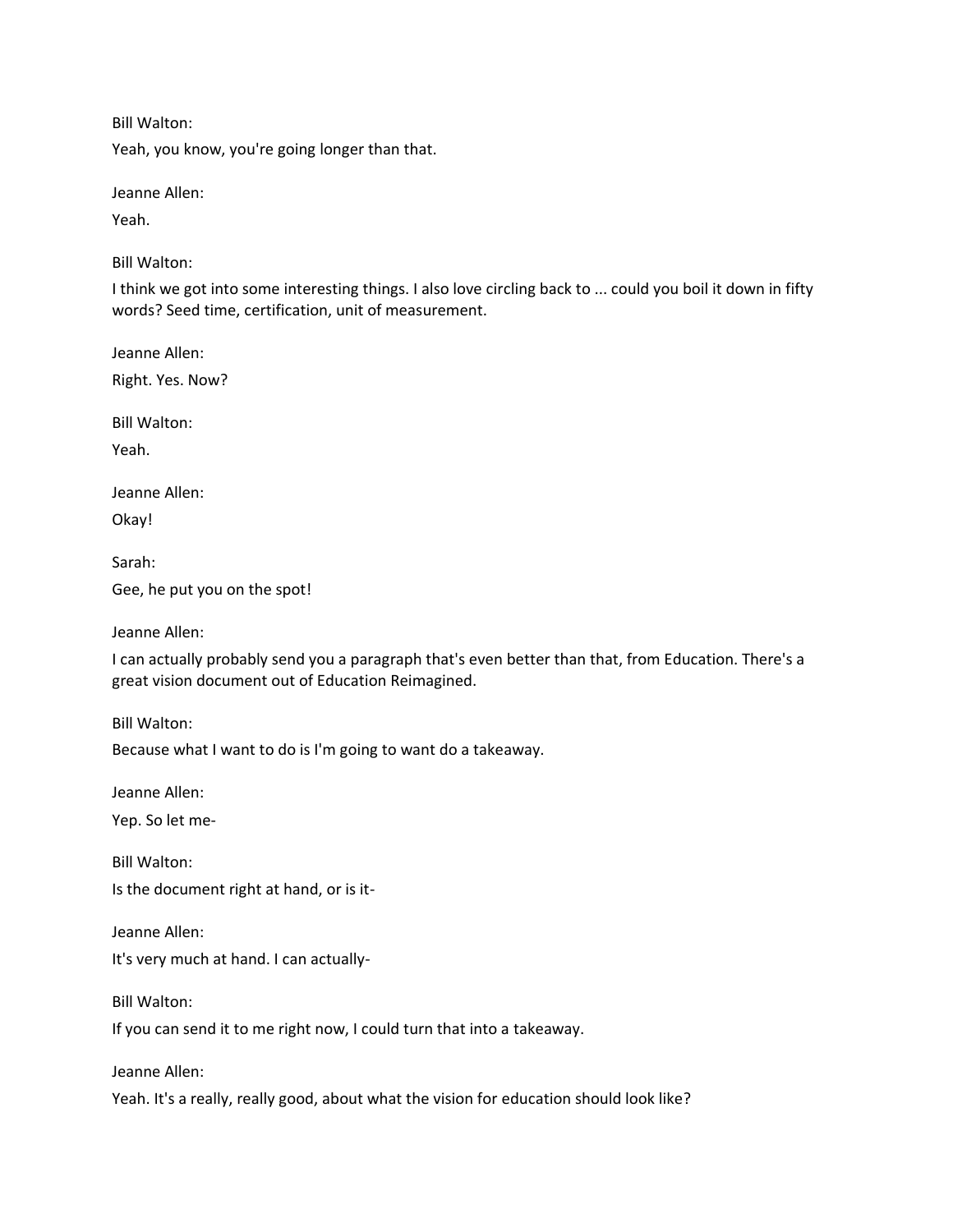Bill Walton:

Yeah, you know, you're going longer than that.

Jeanne Allen:

Yeah.

Bill Walton:

I think we got into some interesting things. I also love circling back to ... could you boil it down in fifty words? Seed time, certification, unit of measurement.

Jeanne Allen:

Right. Yes. Now?

Bill Walton:

Yeah.

Jeanne Allen:

Okay!

Sarah:

Gee, he put you on the spot!

Jeanne Allen:

I can actually probably send you a paragraph that's even better than that, from Education. There's a great vision document out of Education Reimagined.

Bill Walton:

Because what I want to do is I'm going to want do a takeaway.

Jeanne Allen:

Yep. So let me-

Bill Walton: Is the document right at hand, or is it-

Jeanne Allen: It's very much at hand. I can actually-

Bill Walton:

If you can send it to me right now, I could turn that into a takeaway.

Jeanne Allen:

Yeah. It's a really, really good, about what the vision for education should look like?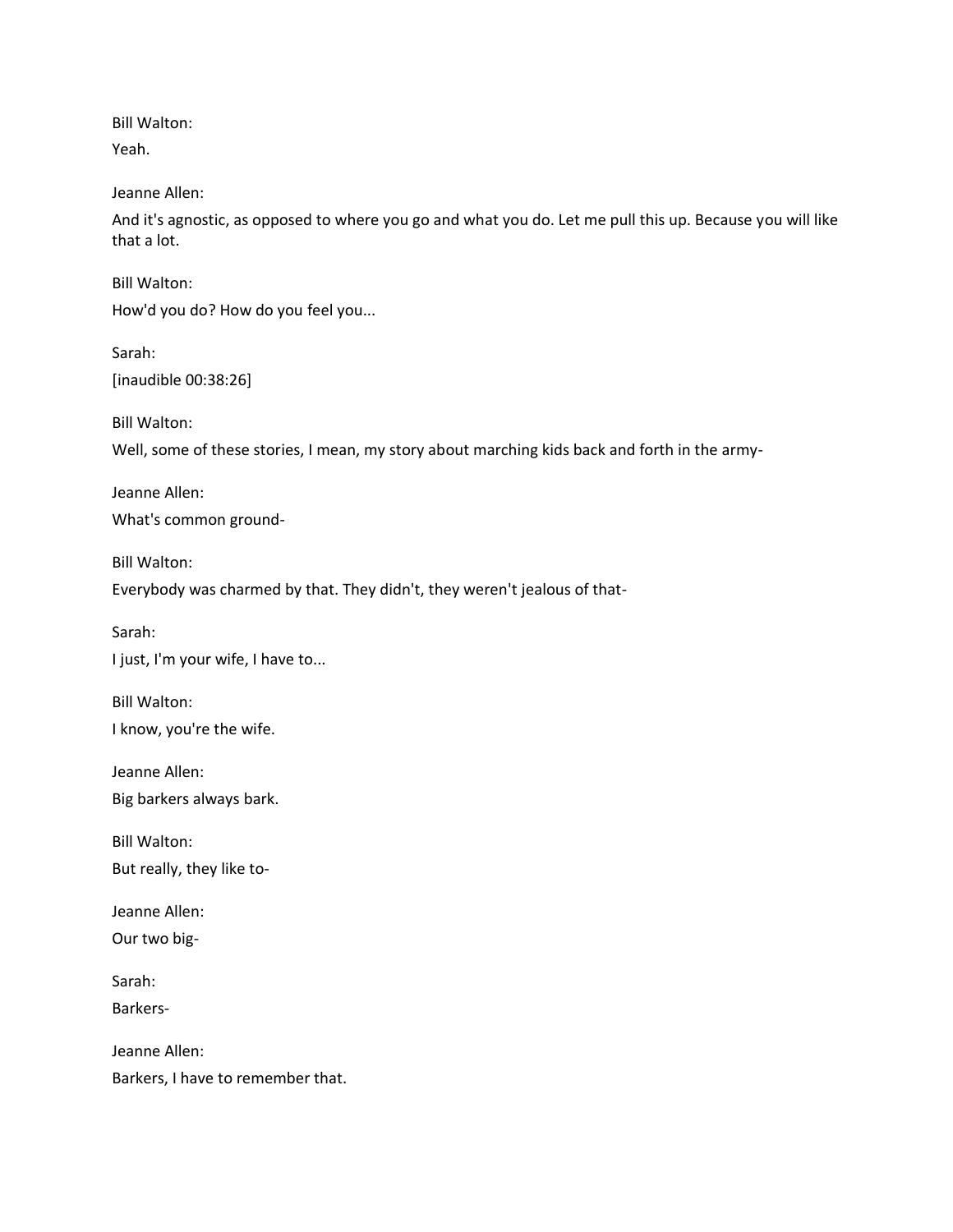Bill Walton:

Yeah.

Jeanne Allen:

And it's agnostic, as opposed to where you go and what you do. Let me pull this up. Because you will like that a lot.

Bill Walton:

How'd you do? How do you feel you...

Sarah: [inaudible 00:38:26]

Bill Walton:

Well, some of these stories, I mean, my story about marching kids back and forth in the army-

Jeanne Allen: What's common ground-

Bill Walton: Everybody was charmed by that. They didn't, they weren't jealous of that-

Sarah:

I just, I'm your wife, I have to...

Bill Walton: I know, you're the wife.

Jeanne Allen:

Big barkers always bark.

Bill Walton:

But really, they like to-

Jeanne Allen:

Our two big-

Sarah:

Barkers-

Jeanne Allen: Barkers, I have to remember that.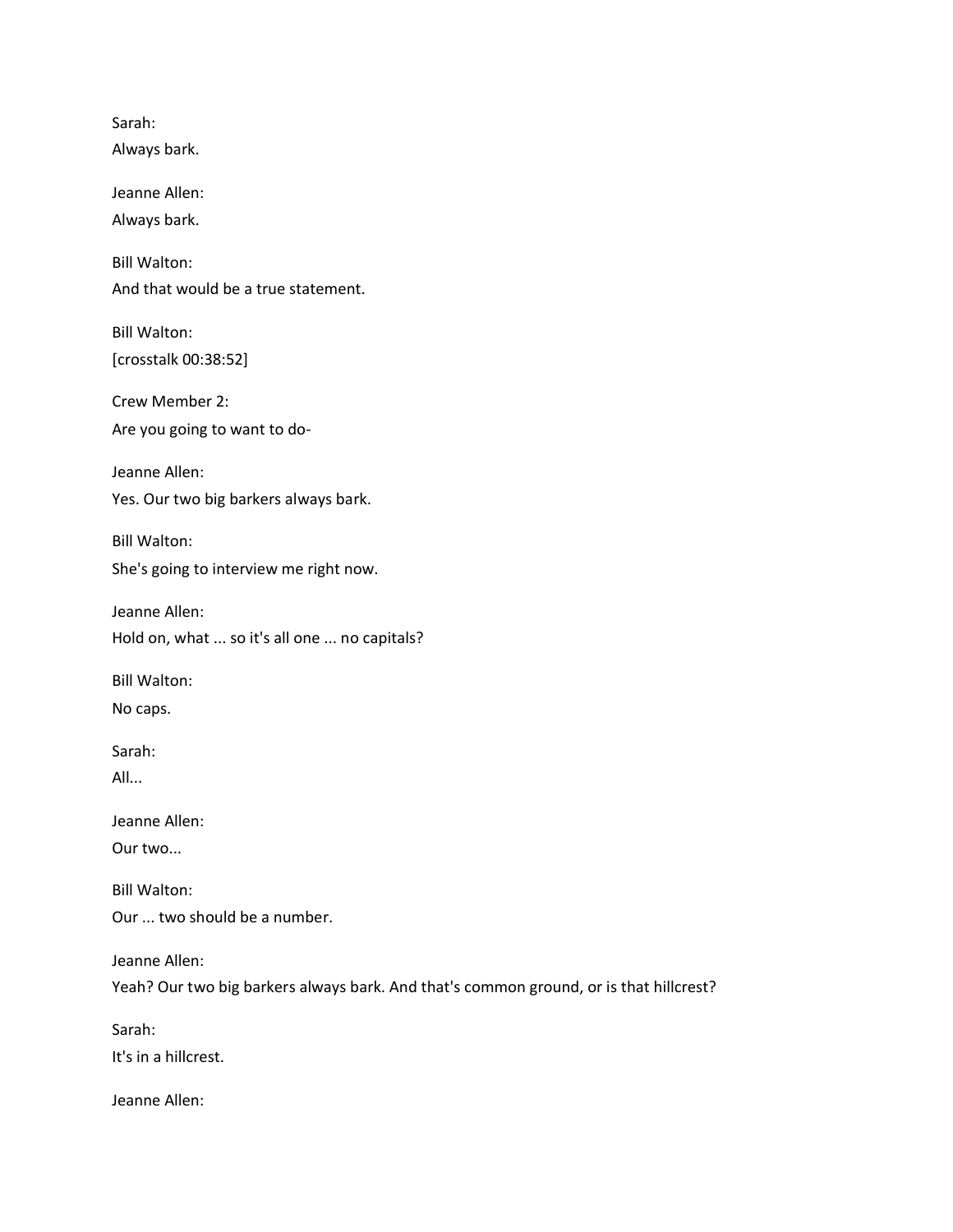Sarah: Always bark. Jeanne Allen: Always bark. Bill Walton: And that would be a true statement. Bill Walton: [crosstalk 00:38:52] Crew Member 2: Are you going to want to do-Jeanne Allen: Yes. Our two big barkers always bark. Bill Walton: She's going to interview me right now. Jeanne Allen: Hold on, what ... so it's all one ... no capitals? Bill Walton: No caps. Sarah: All... Jeanne Allen: Our two... Bill Walton: Our ... two should be a number. Jeanne Allen: Yeah? Our two big barkers always bark. And that's common ground, or is that hillcrest? Sarah: It's in a hillcrest. Jeanne Allen: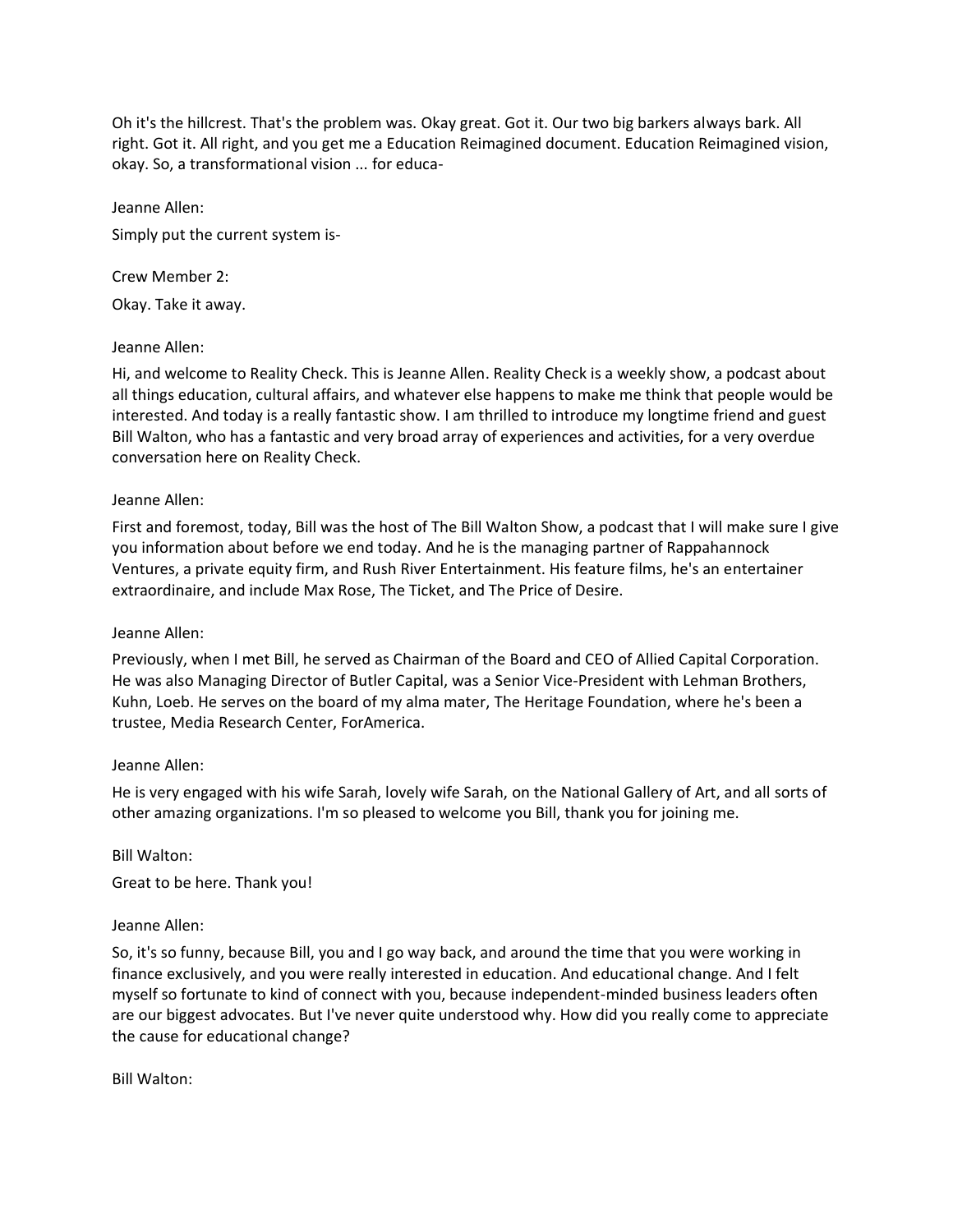Oh it's the hillcrest. That's the problem was. Okay great. Got it. Our two big barkers always bark. All right. Got it. All right, and you get me a Education Reimagined document. Education Reimagined vision, okay. So, a transformational vision ... for educa-

Jeanne Allen: Simply put the current system is-

Crew Member 2: Okay. Take it away.

# Jeanne Allen:

Hi, and welcome to Reality Check. This is Jeanne Allen. Reality Check is a weekly show, a podcast about all things education, cultural affairs, and whatever else happens to make me think that people would be interested. And today is a really fantastic show. I am thrilled to introduce my longtime friend and guest Bill Walton, who has a fantastic and very broad array of experiences and activities, for a very overdue conversation here on Reality Check.

# Jeanne Allen:

First and foremost, today, Bill was the host of The Bill Walton Show, a podcast that I will make sure I give you information about before we end today. And he is the managing partner of Rappahannock Ventures, a private equity firm, and Rush River Entertainment. His feature films, he's an entertainer extraordinaire, and include Max Rose, The Ticket, and The Price of Desire.

# Jeanne Allen:

Previously, when I met Bill, he served as Chairman of the Board and CEO of Allied Capital Corporation. He was also Managing Director of Butler Capital, was a Senior Vice-President with Lehman Brothers, Kuhn, Loeb. He serves on the board of my alma mater, The Heritage Foundation, where he's been a trustee, Media Research Center, ForAmerica.

# Jeanne Allen:

He is very engaged with his wife Sarah, lovely wife Sarah, on the National Gallery of Art, and all sorts of other amazing organizations. I'm so pleased to welcome you Bill, thank you for joining me.

Bill Walton:

Great to be here. Thank you!

# Jeanne Allen:

So, it's so funny, because Bill, you and I go way back, and around the time that you were working in finance exclusively, and you were really interested in education. And educational change. And I felt myself so fortunate to kind of connect with you, because independent-minded business leaders often are our biggest advocates. But I've never quite understood why. How did you really come to appreciate the cause for educational change?

Bill Walton: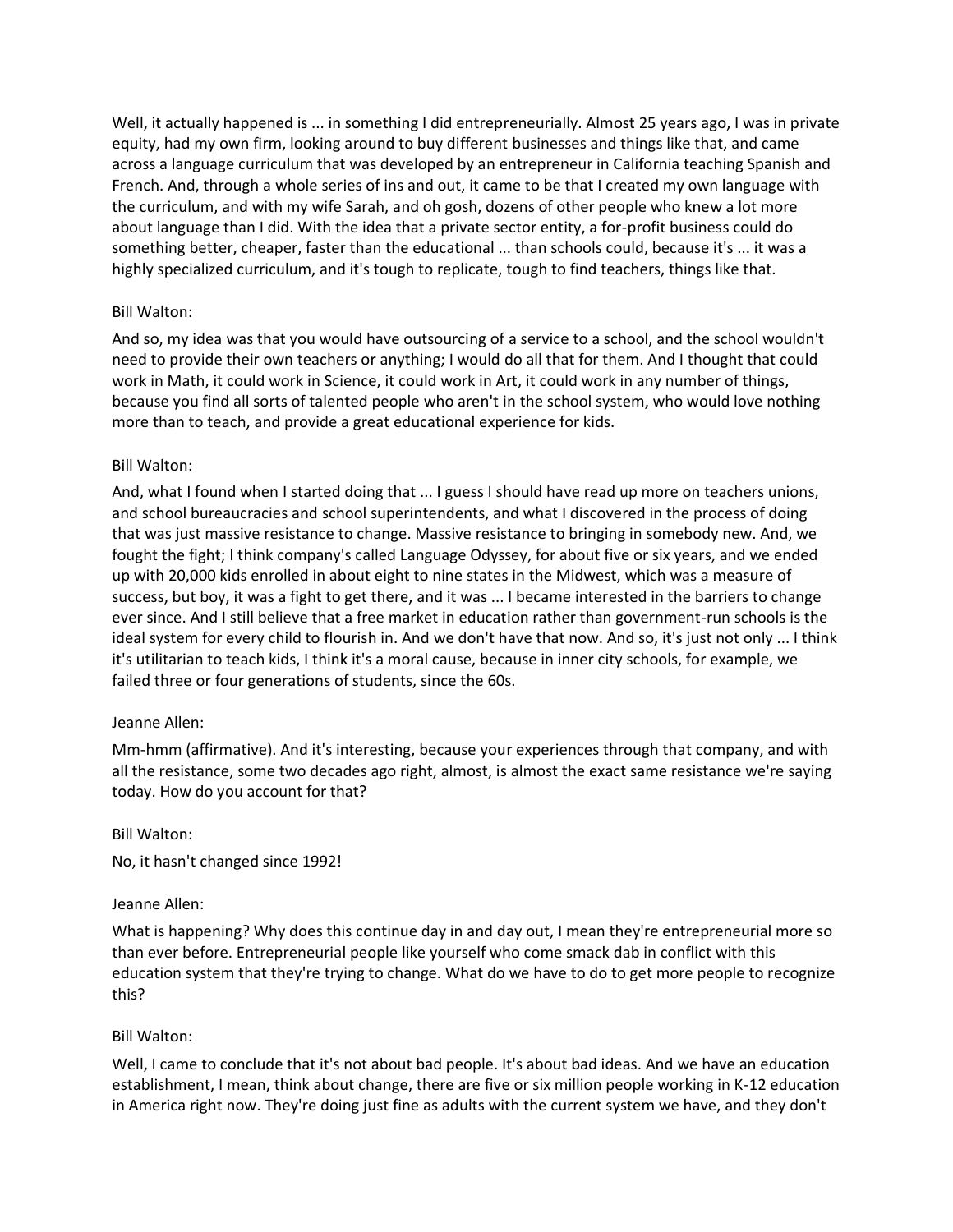Well, it actually happened is ... in something I did entrepreneurially. Almost 25 years ago, I was in private equity, had my own firm, looking around to buy different businesses and things like that, and came across a language curriculum that was developed by an entrepreneur in California teaching Spanish and French. And, through a whole series of ins and out, it came to be that I created my own language with the curriculum, and with my wife Sarah, and oh gosh, dozens of other people who knew a lot more about language than I did. With the idea that a private sector entity, a for-profit business could do something better, cheaper, faster than the educational ... than schools could, because it's ... it was a highly specialized curriculum, and it's tough to replicate, tough to find teachers, things like that.

# Bill Walton:

And so, my idea was that you would have outsourcing of a service to a school, and the school wouldn't need to provide their own teachers or anything; I would do all that for them. And I thought that could work in Math, it could work in Science, it could work in Art, it could work in any number of things, because you find all sorts of talented people who aren't in the school system, who would love nothing more than to teach, and provide a great educational experience for kids.

# Bill Walton:

And, what I found when I started doing that ... I guess I should have read up more on teachers unions, and school bureaucracies and school superintendents, and what I discovered in the process of doing that was just massive resistance to change. Massive resistance to bringing in somebody new. And, we fought the fight; I think company's called Language Odyssey, for about five or six years, and we ended up with 20,000 kids enrolled in about eight to nine states in the Midwest, which was a measure of success, but boy, it was a fight to get there, and it was ... I became interested in the barriers to change ever since. And I still believe that a free market in education rather than government-run schools is the ideal system for every child to flourish in. And we don't have that now. And so, it's just not only ... I think it's utilitarian to teach kids, I think it's a moral cause, because in inner city schools, for example, we failed three or four generations of students, since the 60s.

# Jeanne Allen:

Mm-hmm (affirmative). And it's interesting, because your experiences through that company, and with all the resistance, some two decades ago right, almost, is almost the exact same resistance we're saying today. How do you account for that?

# Bill Walton:

No, it hasn't changed since 1992!

# Jeanne Allen:

What is happening? Why does this continue day in and day out, I mean they're entrepreneurial more so than ever before. Entrepreneurial people like yourself who come smack dab in conflict with this education system that they're trying to change. What do we have to do to get more people to recognize this?

# Bill Walton:

Well, I came to conclude that it's not about bad people. It's about bad ideas. And we have an education establishment, I mean, think about change, there are five or six million people working in K-12 education in America right now. They're doing just fine as adults with the current system we have, and they don't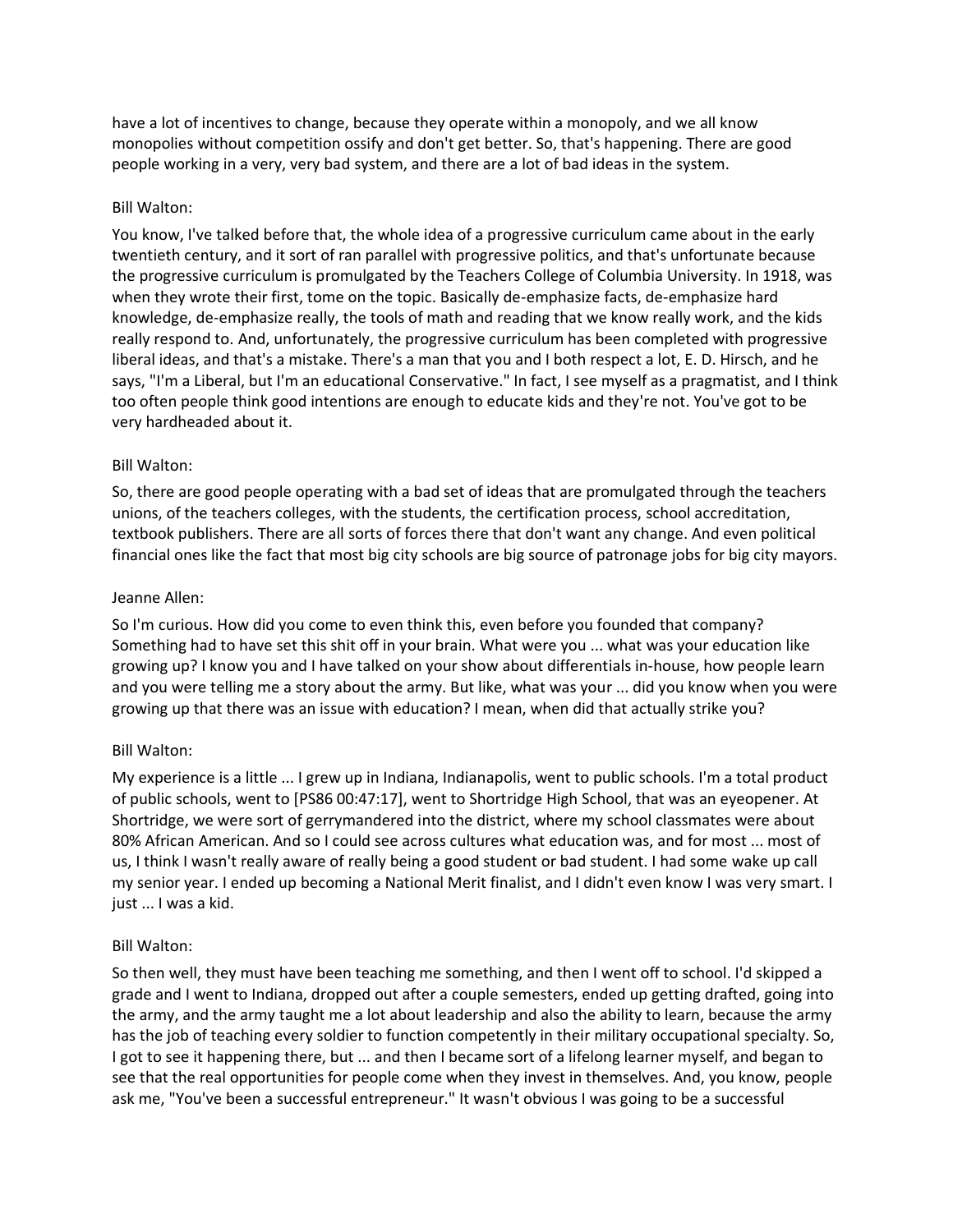have a lot of incentives to change, because they operate within a monopoly, and we all know monopolies without competition ossify and don't get better. So, that's happening. There are good people working in a very, very bad system, and there are a lot of bad ideas in the system.

## Bill Walton:

You know, I've talked before that, the whole idea of a progressive curriculum came about in the early twentieth century, and it sort of ran parallel with progressive politics, and that's unfortunate because the progressive curriculum is promulgated by the Teachers College of Columbia University. In 1918, was when they wrote their first, tome on the topic. Basically de-emphasize facts, de-emphasize hard knowledge, de-emphasize really, the tools of math and reading that we know really work, and the kids really respond to. And, unfortunately, the progressive curriculum has been completed with progressive liberal ideas, and that's a mistake. There's a man that you and I both respect a lot, E. D. Hirsch, and he says, "I'm a Liberal, but I'm an educational Conservative." In fact, I see myself as a pragmatist, and I think too often people think good intentions are enough to educate kids and they're not. You've got to be very hardheaded about it.

## Bill Walton:

So, there are good people operating with a bad set of ideas that are promulgated through the teachers unions, of the teachers colleges, with the students, the certification process, school accreditation, textbook publishers. There are all sorts of forces there that don't want any change. And even political financial ones like the fact that most big city schools are big source of patronage jobs for big city mayors.

## Jeanne Allen:

So I'm curious. How did you come to even think this, even before you founded that company? Something had to have set this shit off in your brain. What were you ... what was your education like growing up? I know you and I have talked on your show about differentials in-house, how people learn and you were telling me a story about the army. But like, what was your ... did you know when you were growing up that there was an issue with education? I mean, when did that actually strike you?

# Bill Walton:

My experience is a little ... I grew up in Indiana, Indianapolis, went to public schools. I'm a total product of public schools, went to [PS86 00:47:17], went to Shortridge High School, that was an eyeopener. At Shortridge, we were sort of gerrymandered into the district, where my school classmates were about 80% African American. And so I could see across cultures what education was, and for most ... most of us, I think I wasn't really aware of really being a good student or bad student. I had some wake up call my senior year. I ended up becoming a National Merit finalist, and I didn't even know I was very smart. I just ... I was a kid.

# Bill Walton:

So then well, they must have been teaching me something, and then I went off to school. I'd skipped a grade and I went to Indiana, dropped out after a couple semesters, ended up getting drafted, going into the army, and the army taught me a lot about leadership and also the ability to learn, because the army has the job of teaching every soldier to function competently in their military occupational specialty. So, I got to see it happening there, but ... and then I became sort of a lifelong learner myself, and began to see that the real opportunities for people come when they invest in themselves. And, you know, people ask me, "You've been a successful entrepreneur." It wasn't obvious I was going to be a successful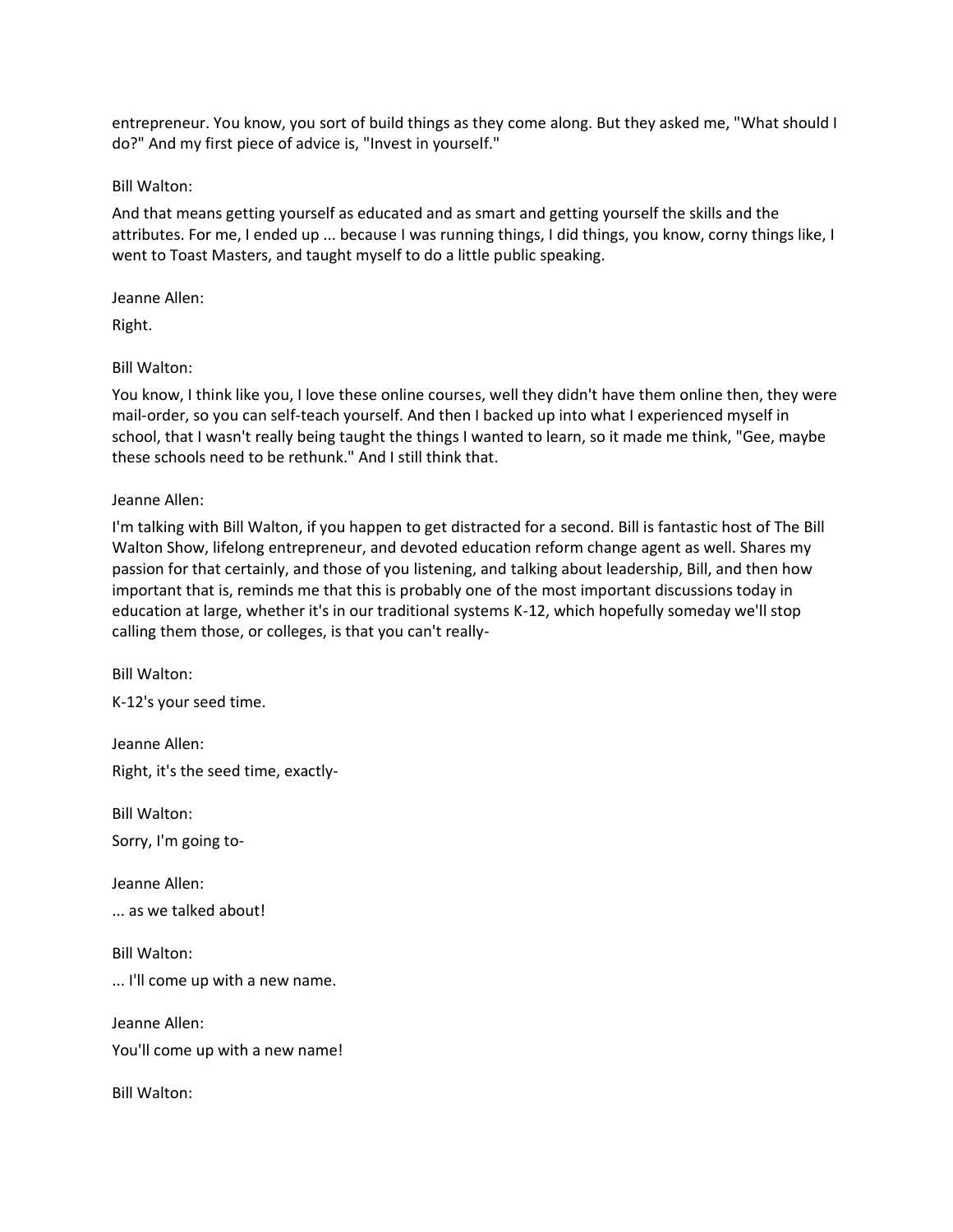entrepreneur. You know, you sort of build things as they come along. But they asked me, "What should I do?" And my first piece of advice is, "Invest in yourself."

## Bill Walton:

And that means getting yourself as educated and as smart and getting yourself the skills and the attributes. For me, I ended up ... because I was running things, I did things, you know, corny things like, I went to Toast Masters, and taught myself to do a little public speaking.

## Jeanne Allen:

Right.

# Bill Walton:

You know, I think like you, I love these online courses, well they didn't have them online then, they were mail-order, so you can self-teach yourself. And then I backed up into what I experienced myself in school, that I wasn't really being taught the things I wanted to learn, so it made me think, "Gee, maybe these schools need to be rethunk." And I still think that.

# Jeanne Allen:

I'm talking with Bill Walton, if you happen to get distracted for a second. Bill is fantastic host of The Bill Walton Show, lifelong entrepreneur, and devoted education reform change agent as well. Shares my passion for that certainly, and those of you listening, and talking about leadership, Bill, and then how important that is, reminds me that this is probably one of the most important discussions today in education at large, whether it's in our traditional systems K-12, which hopefully someday we'll stop calling them those, or colleges, is that you can't really-

Bill Walton: K-12's your seed time.

Jeanne Allen: Right, it's the seed time, exactly-

Bill Walton:

Sorry, I'm going to-

Jeanne Allen:

... as we talked about!

Bill Walton:

... I'll come up with a new name.

Jeanne Allen: You'll come up with a new name!

Bill Walton: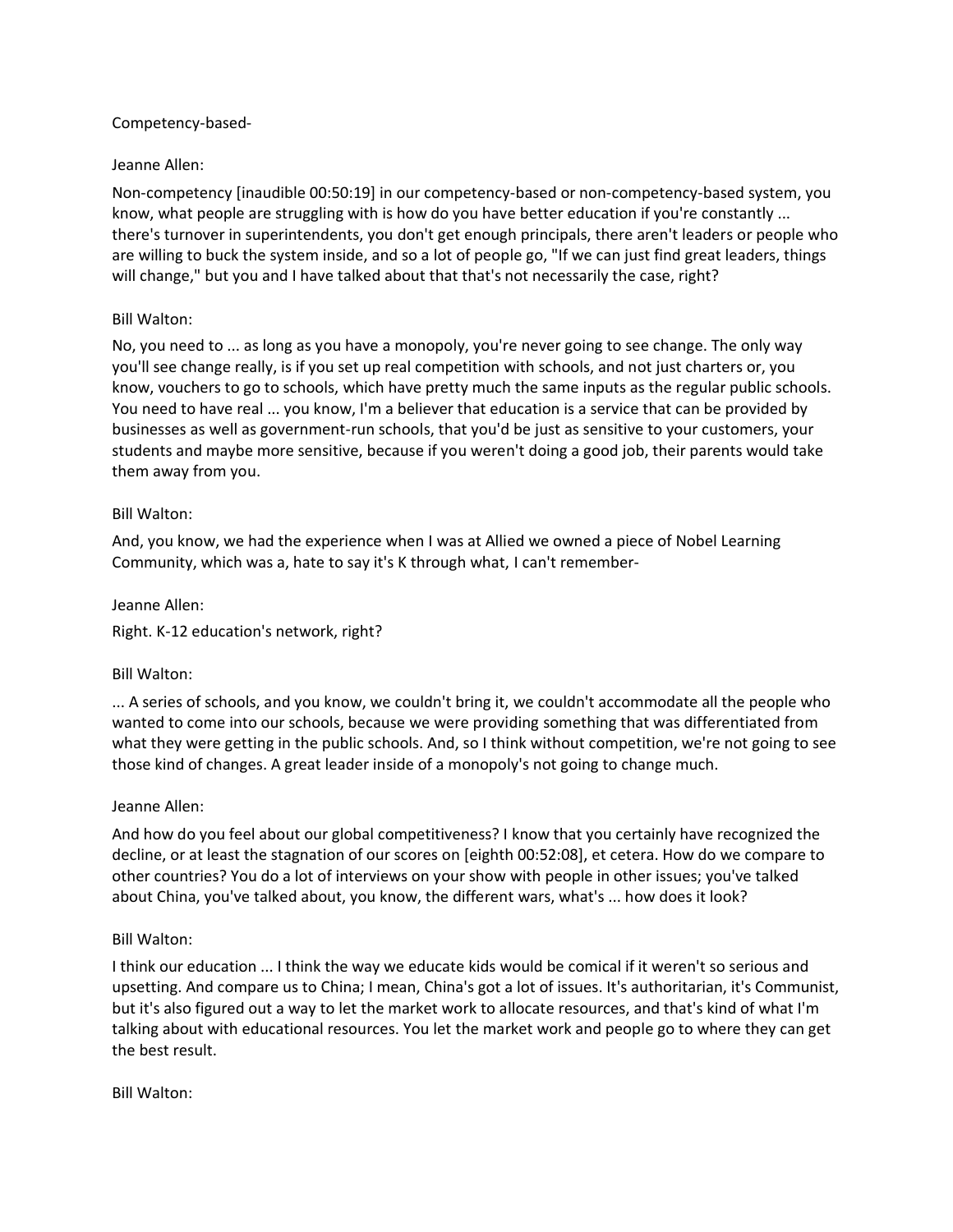## Competency-based-

## Jeanne Allen:

Non-competency [inaudible 00:50:19] in our competency-based or non-competency-based system, you know, what people are struggling with is how do you have better education if you're constantly ... there's turnover in superintendents, you don't get enough principals, there aren't leaders or people who are willing to buck the system inside, and so a lot of people go, "If we can just find great leaders, things will change," but you and I have talked about that that's not necessarily the case, right?

## Bill Walton:

No, you need to ... as long as you have a monopoly, you're never going to see change. The only way you'll see change really, is if you set up real competition with schools, and not just charters or, you know, vouchers to go to schools, which have pretty much the same inputs as the regular public schools. You need to have real ... you know, I'm a believer that education is a service that can be provided by businesses as well as government-run schools, that you'd be just as sensitive to your customers, your students and maybe more sensitive, because if you weren't doing a good job, their parents would take them away from you.

## Bill Walton:

And, you know, we had the experience when I was at Allied we owned a piece of Nobel Learning Community, which was a, hate to say it's K through what, I can't remember-

## Jeanne Allen:

Right. K-12 education's network, right?

#### Bill Walton:

... A series of schools, and you know, we couldn't bring it, we couldn't accommodate all the people who wanted to come into our schools, because we were providing something that was differentiated from what they were getting in the public schools. And, so I think without competition, we're not going to see those kind of changes. A great leader inside of a monopoly's not going to change much.

#### Jeanne Allen:

And how do you feel about our global competitiveness? I know that you certainly have recognized the decline, or at least the stagnation of our scores on [eighth 00:52:08], et cetera. How do we compare to other countries? You do a lot of interviews on your show with people in other issues; you've talked about China, you've talked about, you know, the different wars, what's ... how does it look?

#### Bill Walton:

I think our education ... I think the way we educate kids would be comical if it weren't so serious and upsetting. And compare us to China; I mean, China's got a lot of issues. It's authoritarian, it's Communist, but it's also figured out a way to let the market work to allocate resources, and that's kind of what I'm talking about with educational resources. You let the market work and people go to where they can get the best result.

#### Bill Walton: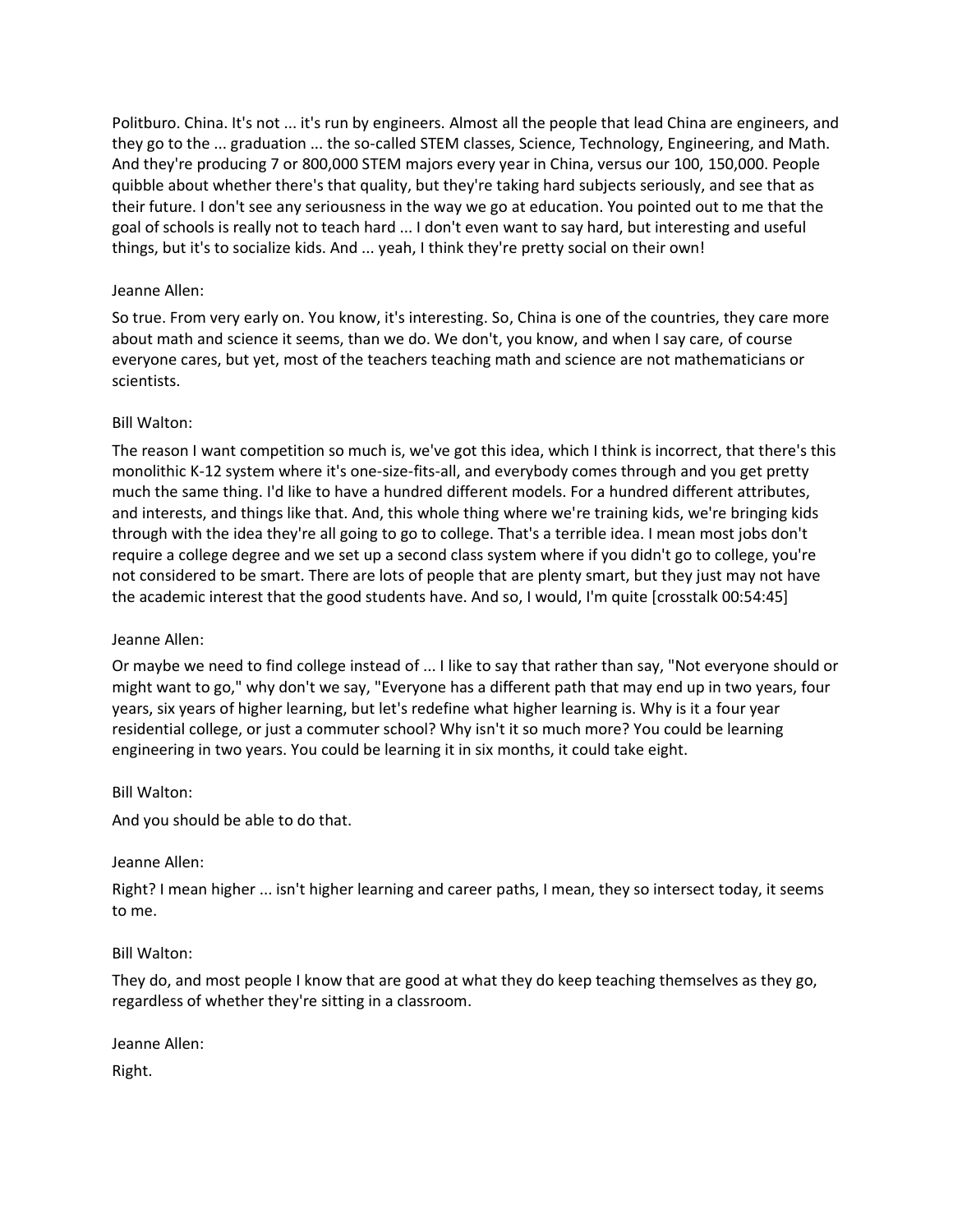Politburo. China. It's not ... it's run by engineers. Almost all the people that lead China are engineers, and they go to the ... graduation ... the so-called STEM classes, Science, Technology, Engineering, and Math. And they're producing 7 or 800,000 STEM majors every year in China, versus our 100, 150,000. People quibble about whether there's that quality, but they're taking hard subjects seriously, and see that as their future. I don't see any seriousness in the way we go at education. You pointed out to me that the goal of schools is really not to teach hard ... I don't even want to say hard, but interesting and useful things, but it's to socialize kids. And ... yeah, I think they're pretty social on their own!

# Jeanne Allen:

So true. From very early on. You know, it's interesting. So, China is one of the countries, they care more about math and science it seems, than we do. We don't, you know, and when I say care, of course everyone cares, but yet, most of the teachers teaching math and science are not mathematicians or scientists.

# Bill Walton:

The reason I want competition so much is, we've got this idea, which I think is incorrect, that there's this monolithic K-12 system where it's one-size-fits-all, and everybody comes through and you get pretty much the same thing. I'd like to have a hundred different models. For a hundred different attributes, and interests, and things like that. And, this whole thing where we're training kids, we're bringing kids through with the idea they're all going to go to college. That's a terrible idea. I mean most jobs don't require a college degree and we set up a second class system where if you didn't go to college, you're not considered to be smart. There are lots of people that are plenty smart, but they just may not have the academic interest that the good students have. And so, I would, I'm quite [crosstalk 00:54:45]

# Jeanne Allen:

Or maybe we need to find college instead of ... I like to say that rather than say, "Not everyone should or might want to go," why don't we say, "Everyone has a different path that may end up in two years, four years, six years of higher learning, but let's redefine what higher learning is. Why is it a four year residential college, or just a commuter school? Why isn't it so much more? You could be learning engineering in two years. You could be learning it in six months, it could take eight.

# Bill Walton:

And you should be able to do that.

# Jeanne Allen:

Right? I mean higher ... isn't higher learning and career paths, I mean, they so intersect today, it seems to me.

# Bill Walton:

They do, and most people I know that are good at what they do keep teaching themselves as they go, regardless of whether they're sitting in a classroom.

Jeanne Allen: Right.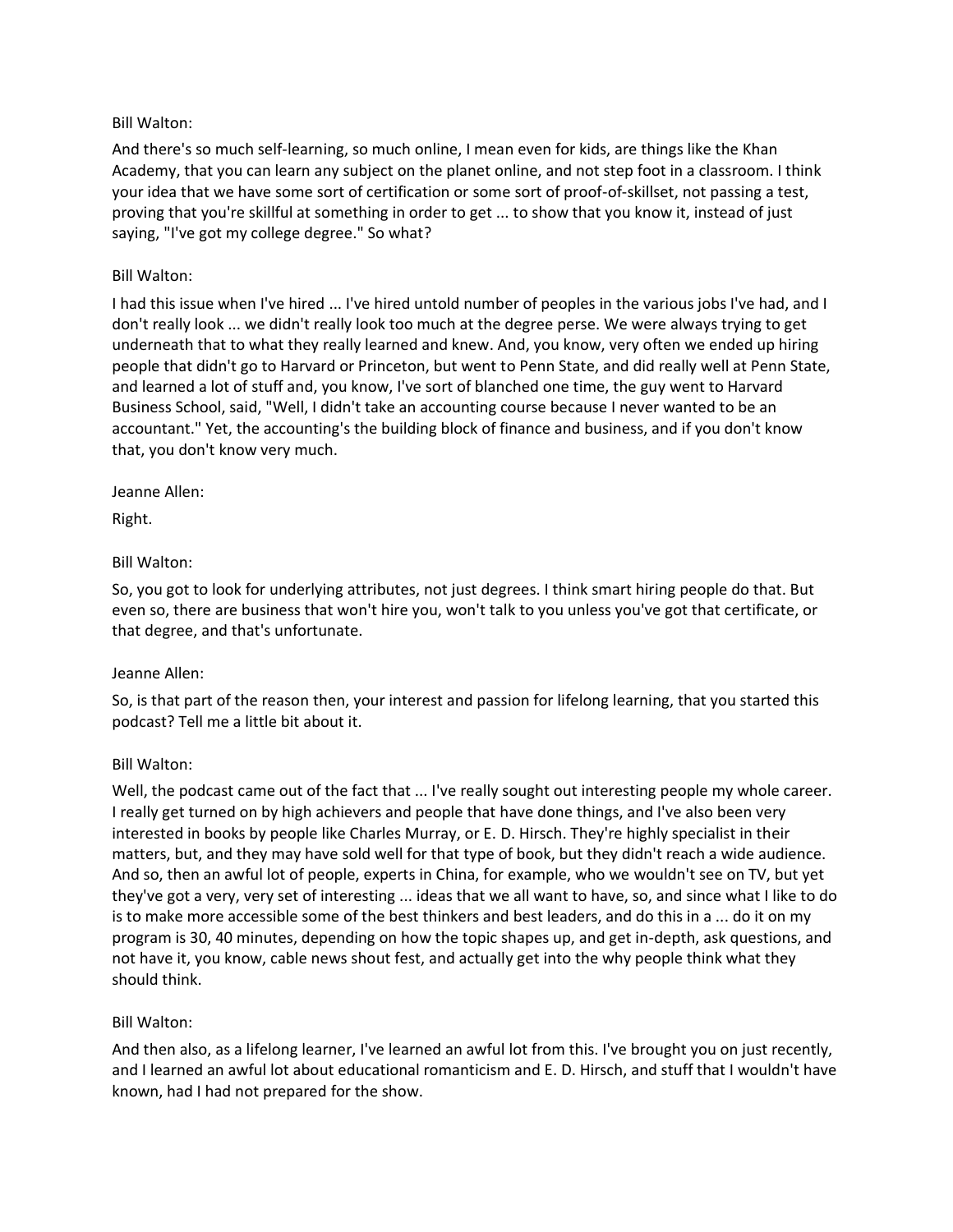# Bill Walton:

And there's so much self-learning, so much online, I mean even for kids, are things like the Khan Academy, that you can learn any subject on the planet online, and not step foot in a classroom. I think your idea that we have some sort of certification or some sort of proof-of-skillset, not passing a test, proving that you're skillful at something in order to get ... to show that you know it, instead of just saying, "I've got my college degree." So what?

# Bill Walton:

I had this issue when I've hired ... I've hired untold number of peoples in the various jobs I've had, and I don't really look ... we didn't really look too much at the degree perse. We were always trying to get underneath that to what they really learned and knew. And, you know, very often we ended up hiring people that didn't go to Harvard or Princeton, but went to Penn State, and did really well at Penn State, and learned a lot of stuff and, you know, I've sort of blanched one time, the guy went to Harvard Business School, said, "Well, I didn't take an accounting course because I never wanted to be an accountant." Yet, the accounting's the building block of finance and business, and if you don't know that, you don't know very much.

# Jeanne Allen:

Right.

# Bill Walton:

So, you got to look for underlying attributes, not just degrees. I think smart hiring people do that. But even so, there are business that won't hire you, won't talk to you unless you've got that certificate, or that degree, and that's unfortunate.

# Jeanne Allen:

So, is that part of the reason then, your interest and passion for lifelong learning, that you started this podcast? Tell me a little bit about it.

# Bill Walton:

Well, the podcast came out of the fact that ... I've really sought out interesting people my whole career. I really get turned on by high achievers and people that have done things, and I've also been very interested in books by people like Charles Murray, or E. D. Hirsch. They're highly specialist in their matters, but, and they may have sold well for that type of book, but they didn't reach a wide audience. And so, then an awful lot of people, experts in China, for example, who we wouldn't see on TV, but yet they've got a very, very set of interesting ... ideas that we all want to have, so, and since what I like to do is to make more accessible some of the best thinkers and best leaders, and do this in a ... do it on my program is 30, 40 minutes, depending on how the topic shapes up, and get in-depth, ask questions, and not have it, you know, cable news shout fest, and actually get into the why people think what they should think.

# Bill Walton:

And then also, as a lifelong learner, I've learned an awful lot from this. I've brought you on just recently, and I learned an awful lot about educational romanticism and E. D. Hirsch, and stuff that I wouldn't have known, had I had not prepared for the show.